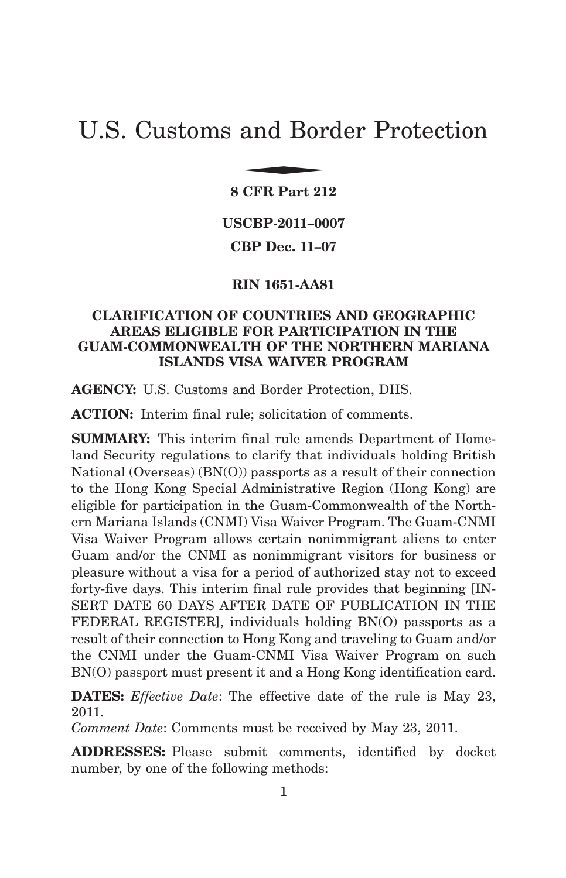# U.S. Customs and Border Protection and Bor

**8 CFR Part 212**

**USCBP-2011–0007**

**CBP Dec. 11–07**

**RIN 1651-AA81**

# **CLARIFICATION OF COUNTRIES AND GEOGRAPHIC AREAS ELIGIBLE FOR PARTICIPATION IN THE GUAM-COMMONWEALTH OF THE NORTHERN MARIANA ISLANDS VISA WAIVER PROGRAM**

**AGENCY:** U.S. Customs and Border Protection, DHS.

**ACTION:** Interim final rule; solicitation of comments.

**SUMMARY:** This interim final rule amends Department of Homeland Security regulations to clarify that individuals holding British National (Overseas) (BN(O)) passports as a result of their connection to the Hong Kong Special Administrative Region (Hong Kong) are eligible for participation in the Guam-Commonwealth of the Northern Mariana Islands (CNMI) Visa Waiver Program. The Guam-CNMI Visa Waiver Program allows certain nonimmigrant aliens to enter Guam and/or the CNMI as nonimmigrant visitors for business or pleasure without a visa for a period of authorized stay not to exceed forty-five days. This interim final rule provides that beginning [IN-SERT DATE 60 DAYS AFTER DATE OF PUBLICATION IN THE FEDERAL REGISTER], individuals holding BN(O) passports as a result of their connection to Hong Kong and traveling to Guam and/or the CNMI under the Guam-CNMI Visa Waiver Program on such BN(O) passport must present it and a Hong Kong identification card.

**DATES:** *Effective Date*: The effective date of the rule is May 23, 2011.

*Comment Date*: Comments must be received by May 23, 2011.

**ADDRESSES:** Please submit comments, identified by docket number, by one of the following methods: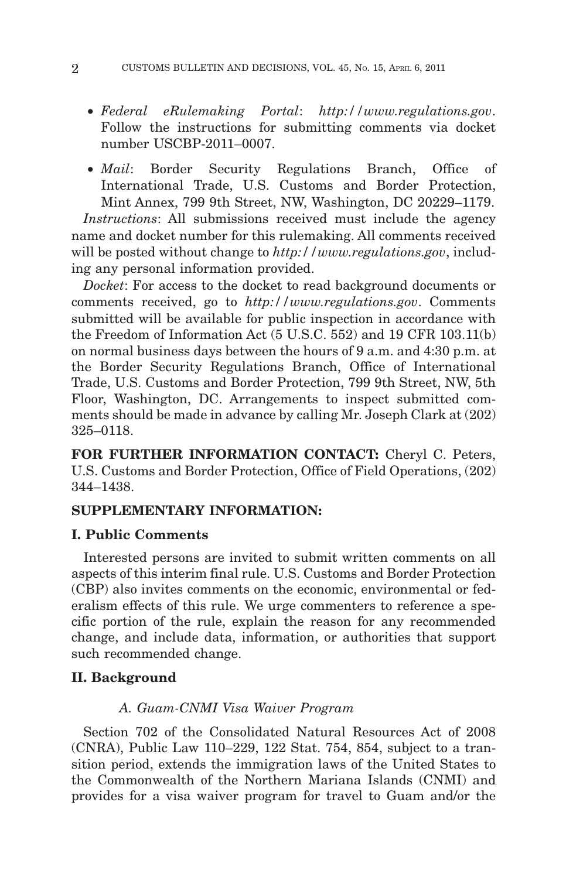- *Federal eRulemaking Portal*: *http://www.regulations.gov*. Follow the instructions for submitting comments via docket number USCBP-2011–0007.
- *Mail*: Border Security Regulations Branch, Office of International Trade, U.S. Customs and Border Protection, Mint Annex, 799 9th Street, NW, Washington, DC 20229–1179.

*Instructions*: All submissions received must include the agency name and docket number for this rulemaking. All comments received will be posted without change to *http://www.regulations.gov*, including any personal information provided.

*Docket*: For access to the docket to read background documents or comments received, go to *http://www.regulations.gov*. Comments submitted will be available for public inspection in accordance with the Freedom of Information Act (5 U.S.C. 552) and 19 CFR 103.11(b) on normal business days between the hours of 9 a.m. and 4:30 p.m. at the Border Security Regulations Branch, Office of International Trade, U.S. Customs and Border Protection, 799 9th Street, NW, 5th Floor, Washington, DC. Arrangements to inspect submitted comments should be made in advance by calling Mr. Joseph Clark at (202) 325–0118.

**FOR FURTHER INFORMATION CONTACT:** Cheryl C. Peters, U.S. Customs and Border Protection, Office of Field Operations, (202) 344–1438.

## **SUPPLEMENTARY INFORMATION:**

## **I. Public Comments**

Interested persons are invited to submit written comments on all aspects of this interim final rule. U.S. Customs and Border Protection (CBP) also invites comments on the economic, environmental or federalism effects of this rule. We urge commenters to reference a specific portion of the rule, explain the reason for any recommended change, and include data, information, or authorities that support such recommended change.

## **II. Background**

## *A. Guam-CNMI Visa Waiver Program*

Section 702 of the Consolidated Natural Resources Act of 2008 (CNRA), Public Law 110–229, 122 Stat. 754, 854, subject to a transition period, extends the immigration laws of the United States to the Commonwealth of the Northern Mariana Islands (CNMI) and provides for a visa waiver program for travel to Guam and/or the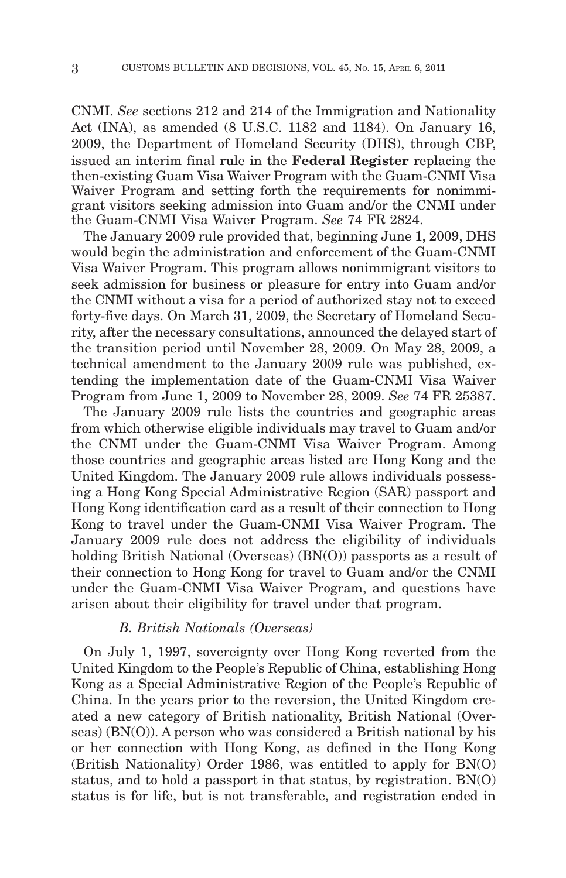CNMI. *See* sections 212 and 214 of the Immigration and Nationality Act (INA), as amended (8 U.S.C. 1182 and 1184). On January 16, 2009, the Department of Homeland Security (DHS), through CBP, issued an interim final rule in the **Federal Register** replacing the then-existing Guam Visa Waiver Program with the Guam-CNMI Visa Waiver Program and setting forth the requirements for nonimmigrant visitors seeking admission into Guam and/or the CNMI under the Guam-CNMI Visa Waiver Program. *See* 74 FR 2824.

The January 2009 rule provided that, beginning June 1, 2009, DHS would begin the administration and enforcement of the Guam-CNMI Visa Waiver Program. This program allows nonimmigrant visitors to seek admission for business or pleasure for entry into Guam and/or the CNMI without a visa for a period of authorized stay not to exceed forty-five days. On March 31, 2009, the Secretary of Homeland Security, after the necessary consultations, announced the delayed start of the transition period until November 28, 2009. On May 28, 2009, a technical amendment to the January 2009 rule was published, extending the implementation date of the Guam-CNMI Visa Waiver Program from June 1, 2009 to November 28, 2009. *See* 74 FR 25387.

The January 2009 rule lists the countries and geographic areas from which otherwise eligible individuals may travel to Guam and/or the CNMI under the Guam-CNMI Visa Waiver Program. Among those countries and geographic areas listed are Hong Kong and the United Kingdom. The January 2009 rule allows individuals possessing a Hong Kong Special Administrative Region (SAR) passport and Hong Kong identification card as a result of their connection to Hong Kong to travel under the Guam-CNMI Visa Waiver Program. The January 2009 rule does not address the eligibility of individuals holding British National (Overseas) (BN(O)) passports as a result of their connection to Hong Kong for travel to Guam and/or the CNMI under the Guam-CNMI Visa Waiver Program, and questions have arisen about their eligibility for travel under that program.

## *B. British Nationals (Overseas)*

On July 1, 1997, sovereignty over Hong Kong reverted from the United Kingdom to the People's Republic of China, establishing Hong Kong as a Special Administrative Region of the People's Republic of China. In the years prior to the reversion, the United Kingdom created a new category of British nationality, British National (Overseas) (BN(O)). A person who was considered a British national by his or her connection with Hong Kong, as defined in the Hong Kong (British Nationality) Order 1986, was entitled to apply for BN(O) status, and to hold a passport in that status, by registration. BN(O) status is for life, but is not transferable, and registration ended in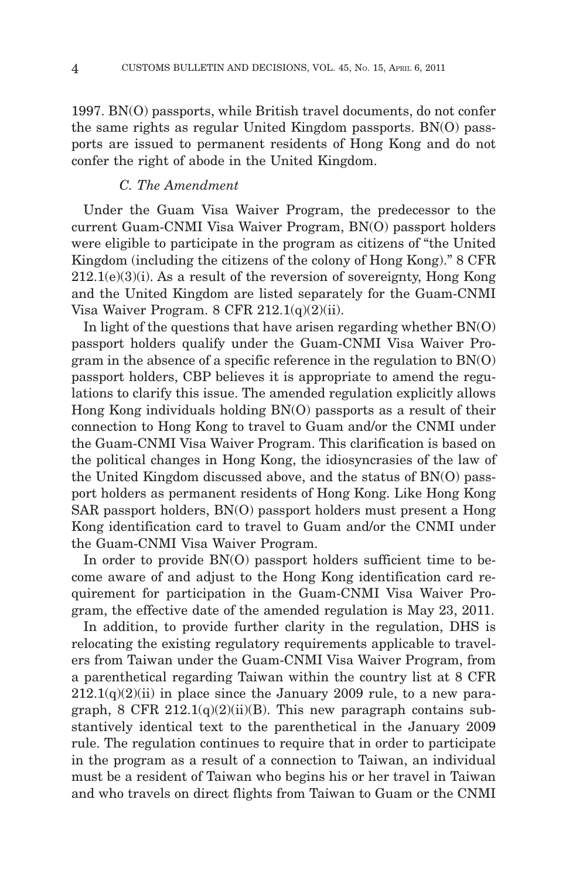1997. BN(O) passports, while British travel documents, do not confer the same rights as regular United Kingdom passports. BN(O) passports are issued to permanent residents of Hong Kong and do not confer the right of abode in the United Kingdom.

## *C. The Amendment*

Under the Guam Visa Waiver Program, the predecessor to the current Guam-CNMI Visa Waiver Program, BN(O) passport holders were eligible to participate in the program as citizens of "the United Kingdom (including the citizens of the colony of Hong Kong)." 8 CFR  $212.1(e)(3)(i)$ . As a result of the reversion of sovereignty, Hong Kong and the United Kingdom are listed separately for the Guam-CNMI Visa Waiver Program. 8 CFR  $212.1(q)(2)(ii)$ .

In light of the questions that have arisen regarding whether  $BN(0)$ passport holders qualify under the Guam-CNMI Visa Waiver Program in the absence of a specific reference in the regulation to BN(O) passport holders, CBP believes it is appropriate to amend the regulations to clarify this issue. The amended regulation explicitly allows Hong Kong individuals holding BN(O) passports as a result of their connection to Hong Kong to travel to Guam and/or the CNMI under the Guam-CNMI Visa Waiver Program. This clarification is based on the political changes in Hong Kong, the idiosyncrasies of the law of the United Kingdom discussed above, and the status of BN(O) passport holders as permanent residents of Hong Kong. Like Hong Kong SAR passport holders, BN(O) passport holders must present a Hong Kong identification card to travel to Guam and/or the CNMI under the Guam-CNMI Visa Waiver Program.

In order to provide BN(O) passport holders sufficient time to become aware of and adjust to the Hong Kong identification card requirement for participation in the Guam-CNMI Visa Waiver Program, the effective date of the amended regulation is May 23, 2011.

In addition, to provide further clarity in the regulation, DHS is relocating the existing regulatory requirements applicable to travelers from Taiwan under the Guam-CNMI Visa Waiver Program, from a parenthetical regarding Taiwan within the country list at 8 CFR  $212.1(q)(2)(ii)$  in place since the January 2009 rule, to a new paragraph, 8 CFR  $212.1(q)(2)(ii)(B)$ . This new paragraph contains substantively identical text to the parenthetical in the January 2009 rule. The regulation continues to require that in order to participate in the program as a result of a connection to Taiwan, an individual must be a resident of Taiwan who begins his or her travel in Taiwan and who travels on direct flights from Taiwan to Guam or the CNMI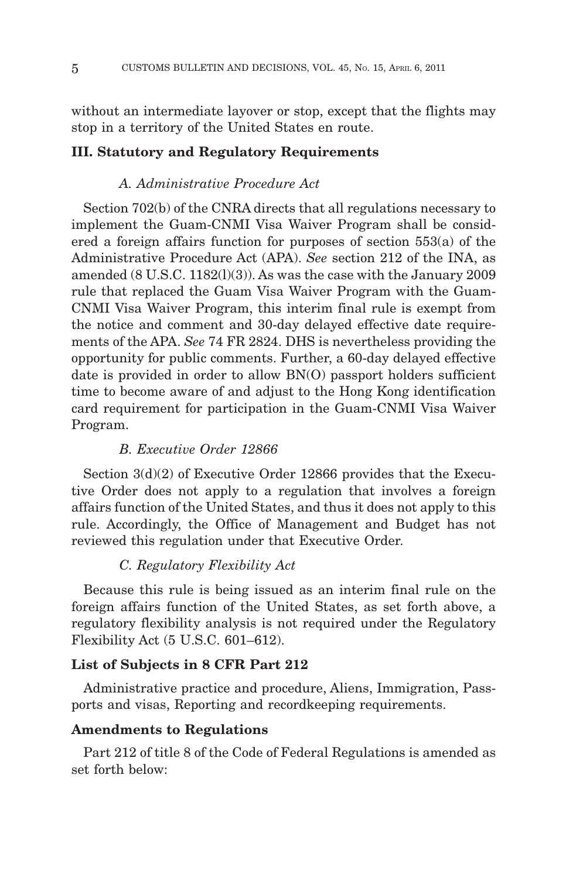without an intermediate layover or stop, except that the flights may stop in a territory of the United States en route.

## **III. Statutory and Regulatory Requirements**

## *A. Administrative Procedure Act*

Section 702(b) of the CNRA directs that all regulations necessary to implement the Guam-CNMI Visa Waiver Program shall be considered a foreign affairs function for purposes of section 553(a) of the Administrative Procedure Act (APA). *See* section 212 of the INA, as amended (8 U.S.C. 1182(l)(3)). As was the case with the January 2009 rule that replaced the Guam Visa Waiver Program with the Guam-CNMI Visa Waiver Program, this interim final rule is exempt from the notice and comment and 30-day delayed effective date requirements of the APA. *See* 74 FR 2824. DHS is nevertheless providing the opportunity for public comments. Further, a 60-day delayed effective date is provided in order to allow BN(O) passport holders sufficient time to become aware of and adjust to the Hong Kong identification card requirement for participation in the Guam-CNMI Visa Waiver Program.

#### *B. Executive Order 12866*

Section  $3(d)(2)$  of Executive Order 12866 provides that the Executive Order does not apply to a regulation that involves a foreign affairs function of the United States, and thus it does not apply to this rule. Accordingly, the Office of Management and Budget has not reviewed this regulation under that Executive Order.

## *C. Regulatory Flexibility Act*

Because this rule is being issued as an interim final rule on the foreign affairs function of the United States, as set forth above, a regulatory flexibility analysis is not required under the Regulatory Flexibility Act (5 U.S.C. 601–612).

#### **List of Subjects in 8 CFR Part 212**

Administrative practice and procedure, Aliens, Immigration, Passports and visas, Reporting and recordkeeping requirements.

## **Amendments to Regulations**

Part 212 of title 8 of the Code of Federal Regulations is amended as set forth below: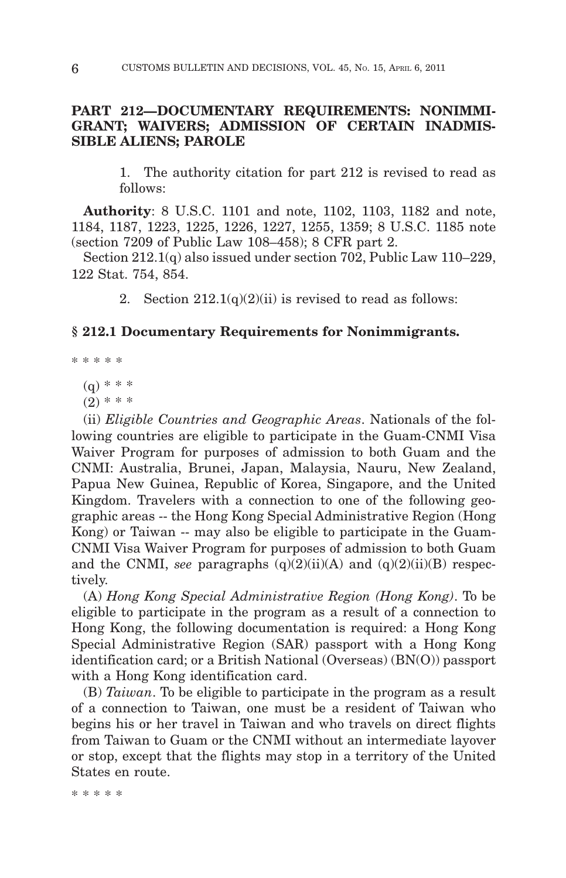## **PART 212—DOCUMENTARY REQUIREMENTS: NONIMMI-GRANT; WAIVERS; ADMISSION OF CERTAIN INADMIS-SIBLE ALIENS; PAROLE**

1. The authority citation for part 212 is revised to read as follows:

**Authority**: 8 U.S.C. 1101 and note, 1102, 1103, 1182 and note, 1184, 1187, 1223, 1225, 1226, 1227, 1255, 1359; 8 U.S.C. 1185 note (section 7209 of Public Law 108–458); 8 CFR part 2.

Section 212.1(q) also issued under section 702, Public Law 110–229, 122 Stat. 754, 854.

2. Section  $212.1(q)(2)(ii)$  is revised to read as follows:

## **§ 212.1 Documentary Requirements for Nonimmigrants.**

\*\*\*\*\*

 $(q)$  \* \* \*

 $(2)$  \* \* \*

(ii) *Eligible Countries and Geographic Areas*. Nationals of the following countries are eligible to participate in the Guam-CNMI Visa Waiver Program for purposes of admission to both Guam and the CNMI: Australia, Brunei, Japan, Malaysia, Nauru, New Zealand, Papua New Guinea, Republic of Korea, Singapore, and the United Kingdom. Travelers with a connection to one of the following geographic areas -- the Hong Kong Special Administrative Region (Hong Kong) or Taiwan -- may also be eligible to participate in the Guam-CNMI Visa Waiver Program for purposes of admission to both Guam and the CNMI, *see* paragraphs  $(q)(2)(ii)(A)$  and  $(q)(2)(ii)(B)$  respectively.

(A) *Hong Kong Special Administrative Region (Hong Kong)*. To be eligible to participate in the program as a result of a connection to Hong Kong, the following documentation is required: a Hong Kong Special Administrative Region (SAR) passport with a Hong Kong identification card; or a British National (Overseas) (BN(O)) passport with a Hong Kong identification card.

(B) *Taiwan*. To be eligible to participate in the program as a result of a connection to Taiwan, one must be a resident of Taiwan who begins his or her travel in Taiwan and who travels on direct flights from Taiwan to Guam or the CNMI without an intermediate layover or stop, except that the flights may stop in a territory of the United States en route.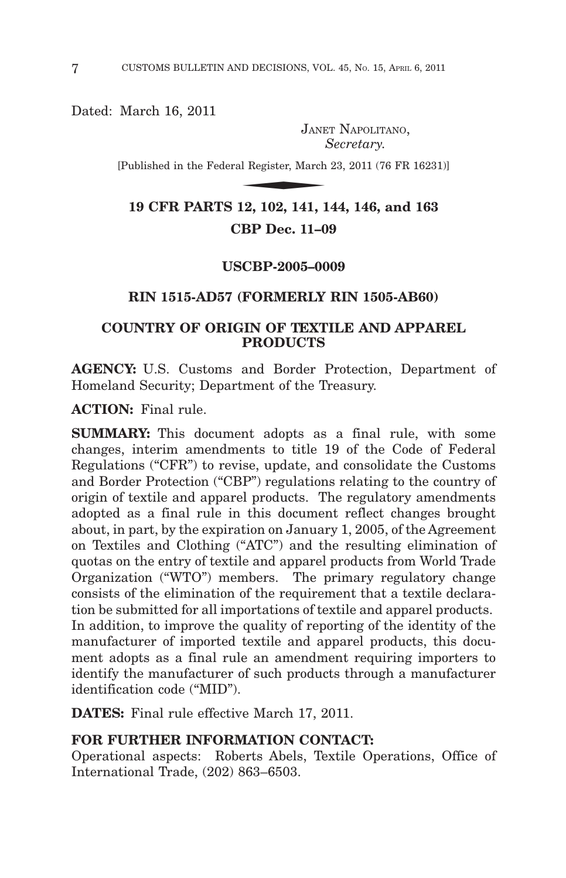Dated: March 16, 2011

JANET NAPOLITANO, *Secretary.*

[Published in the Federal Register, March 23, 2011 (76 FR 16231)]  $\begin{minipage}{0.9\linewidth} \textbf{JANE} \end{minipage}$ al Register, March

**19 CFR PARTS 12, 102, 141, 144, 146, and 163 CBP Dec. 11–09**

#### **USCBP-2005–0009**

## **RIN 1515-AD57 (FORMERLY RIN 1505-AB60)**

## **COUNTRY OF ORIGIN OF TEXTILE AND APPAREL PRODUCTS**

**AGENCY:** U.S. Customs and Border Protection, Department of Homeland Security; Department of the Treasury.

**ACTION:** Final rule.

**SUMMARY:** This document adopts as a final rule, with some changes, interim amendments to title 19 of the Code of Federal Regulations ("CFR") to revise, update, and consolidate the Customs and Border Protection ("CBP") regulations relating to the country of origin of textile and apparel products. The regulatory amendments adopted as a final rule in this document reflect changes brought about, in part, by the expiration on January 1, 2005, of the Agreement on Textiles and Clothing ("ATC") and the resulting elimination of quotas on the entry of textile and apparel products from World Trade Organization ("WTO") members. The primary regulatory change consists of the elimination of the requirement that a textile declaration be submitted for all importations of textile and apparel products. In addition, to improve the quality of reporting of the identity of the manufacturer of imported textile and apparel products, this document adopts as a final rule an amendment requiring importers to identify the manufacturer of such products through a manufacturer identification code ("MID").

**DATES:** Final rule effective March 17, 2011.

## **FOR FURTHER INFORMATION CONTACT:**

Operational aspects: Roberts Abels, Textile Operations, Office of International Trade, (202) 863–6503.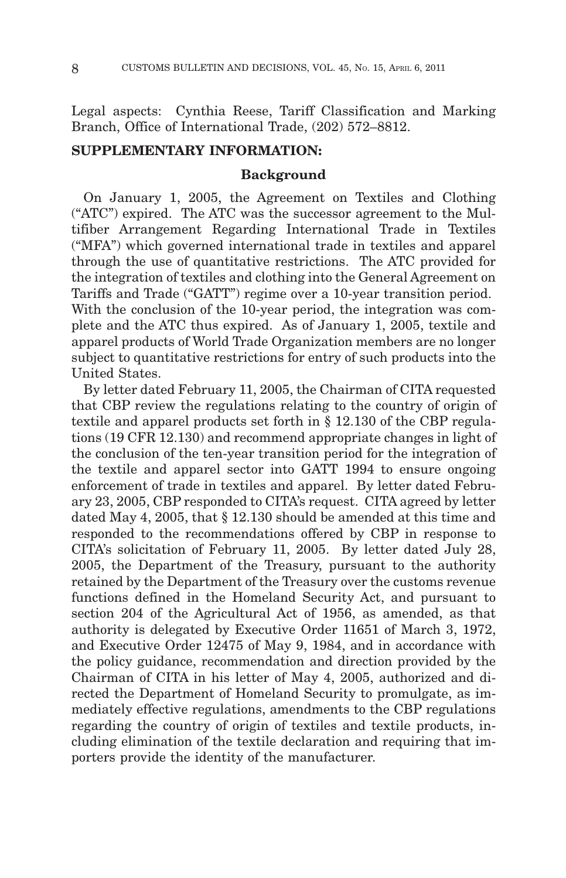Legal aspects: Cynthia Reese, Tariff Classification and Marking Branch, Office of International Trade, (202) 572–8812.

## **SUPPLEMENTARY INFORMATION:**

#### **Background**

On January 1, 2005, the Agreement on Textiles and Clothing ("ATC") expired. The ATC was the successor agreement to the Multifiber Arrangement Regarding International Trade in Textiles ("MFA") which governed international trade in textiles and apparel through the use of quantitative restrictions. The ATC provided for the integration of textiles and clothing into the General Agreement on Tariffs and Trade ("GATT") regime over a 10-year transition period. With the conclusion of the 10-year period, the integration was complete and the ATC thus expired. As of January 1, 2005, textile and apparel products of World Trade Organization members are no longer subject to quantitative restrictions for entry of such products into the United States.

By letter dated February 11, 2005, the Chairman of CITA requested that CBP review the regulations relating to the country of origin of textile and apparel products set forth in § 12.130 of the CBP regulations (19 CFR 12.130) and recommend appropriate changes in light of the conclusion of the ten-year transition period for the integration of the textile and apparel sector into GATT 1994 to ensure ongoing enforcement of trade in textiles and apparel. By letter dated February 23, 2005, CBP responded to CITA's request. CITA agreed by letter dated May 4, 2005, that § 12.130 should be amended at this time and responded to the recommendations offered by CBP in response to CITA's solicitation of February 11, 2005. By letter dated July 28, 2005, the Department of the Treasury, pursuant to the authority retained by the Department of the Treasury over the customs revenue functions defined in the Homeland Security Act, and pursuant to section 204 of the Agricultural Act of 1956, as amended, as that authority is delegated by Executive Order 11651 of March 3, 1972, and Executive Order 12475 of May 9, 1984, and in accordance with the policy guidance, recommendation and direction provided by the Chairman of CITA in his letter of May 4, 2005, authorized and directed the Department of Homeland Security to promulgate, as immediately effective regulations, amendments to the CBP regulations regarding the country of origin of textiles and textile products, including elimination of the textile declaration and requiring that importers provide the identity of the manufacturer.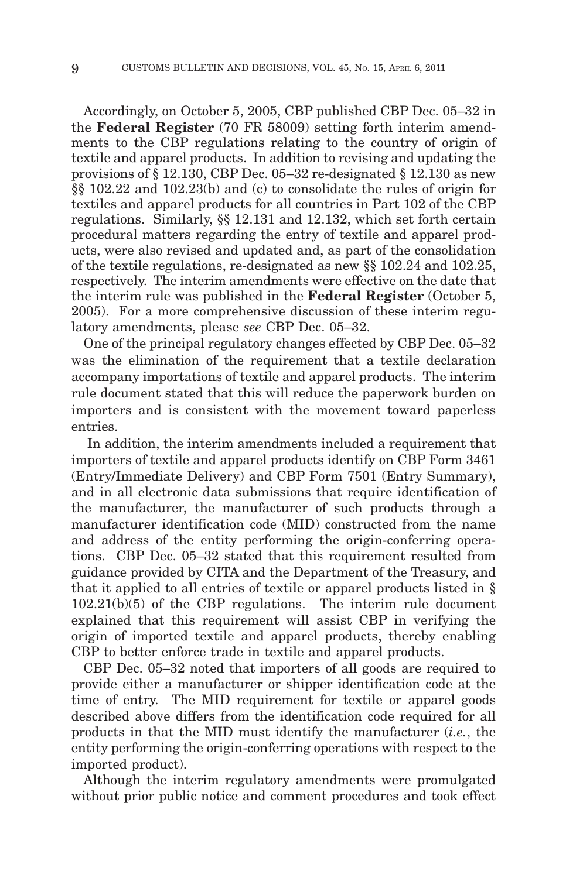Accordingly, on October 5, 2005, CBP published CBP Dec. 05–32 in the **Federal Register** (70 FR 58009) setting forth interim amendments to the CBP regulations relating to the country of origin of textile and apparel products. In addition to revising and updating the provisions of § 12.130, CBP Dec. 05–32 re-designated § 12.130 as new §§ 102.22 and 102.23(b) and (c) to consolidate the rules of origin for textiles and apparel products for all countries in Part 102 of the CBP regulations. Similarly, §§ 12.131 and 12.132, which set forth certain procedural matters regarding the entry of textile and apparel products, were also revised and updated and, as part of the consolidation of the textile regulations, re-designated as new §§ 102.24 and 102.25, respectively. The interim amendments were effective on the date that the interim rule was published in the **Federal Register** (October 5, 2005). For a more comprehensive discussion of these interim regulatory amendments, please *see* CBP Dec. 05–32.

One of the principal regulatory changes effected by CBP Dec. 05–32 was the elimination of the requirement that a textile declaration accompany importations of textile and apparel products. The interim rule document stated that this will reduce the paperwork burden on importers and is consistent with the movement toward paperless entries.

In addition, the interim amendments included a requirement that importers of textile and apparel products identify on CBP Form 3461 (Entry/Immediate Delivery) and CBP Form 7501 (Entry Summary), and in all electronic data submissions that require identification of the manufacturer, the manufacturer of such products through a manufacturer identification code (MID) constructed from the name and address of the entity performing the origin-conferring operations. CBP Dec. 05–32 stated that this requirement resulted from guidance provided by CITA and the Department of the Treasury, and that it applied to all entries of textile or apparel products listed in § 102.21(b)(5) of the CBP regulations. The interim rule document explained that this requirement will assist CBP in verifying the origin of imported textile and apparel products, thereby enabling CBP to better enforce trade in textile and apparel products.

CBP Dec. 05–32 noted that importers of all goods are required to provide either a manufacturer or shipper identification code at the time of entry. The MID requirement for textile or apparel goods described above differs from the identification code required for all products in that the MID must identify the manufacturer (*i.e.*, the entity performing the origin-conferring operations with respect to the imported product).

Although the interim regulatory amendments were promulgated without prior public notice and comment procedures and took effect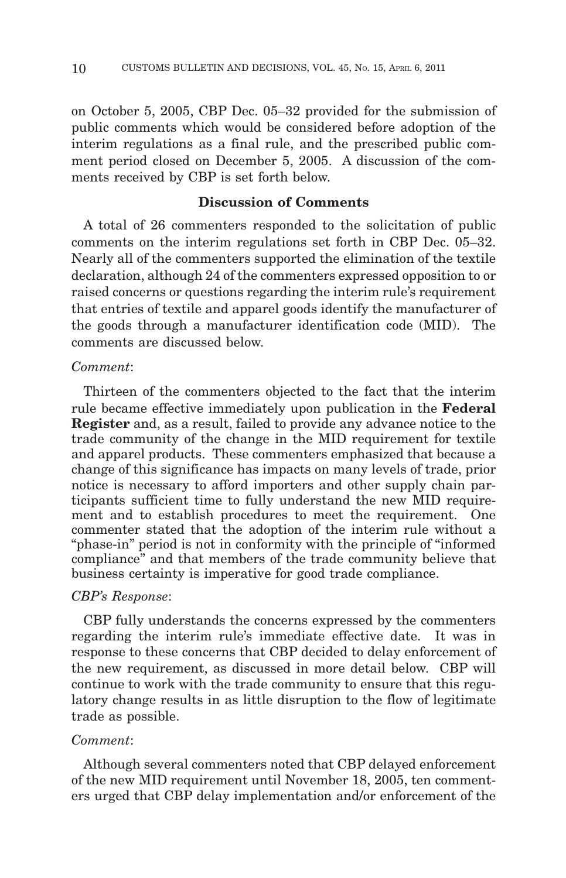on October 5, 2005, CBP Dec. 05–32 provided for the submission of public comments which would be considered before adoption of the interim regulations as a final rule, and the prescribed public comment period closed on December 5, 2005. A discussion of the comments received by CBP is set forth below.

## **Discussion of Comments**

A total of 26 commenters responded to the solicitation of public comments on the interim regulations set forth in CBP Dec. 05–32. Nearly all of the commenters supported the elimination of the textile declaration, although 24 of the commenters expressed opposition to or raised concerns or questions regarding the interim rule's requirement that entries of textile and apparel goods identify the manufacturer of the goods through a manufacturer identification code (MID). The comments are discussed below.

## *Comment*:

Thirteen of the commenters objected to the fact that the interim rule became effective immediately upon publication in the **Federal Register** and, as a result, failed to provide any advance notice to the trade community of the change in the MID requirement for textile and apparel products. These commenters emphasized that because a change of this significance has impacts on many levels of trade, prior notice is necessary to afford importers and other supply chain participants sufficient time to fully understand the new MID requirement and to establish procedures to meet the requirement. One commenter stated that the adoption of the interim rule without a "phase-in" period is not in conformity with the principle of "informed compliance" and that members of the trade community believe that business certainty is imperative for good trade compliance.

## *CBP's Response*:

CBP fully understands the concerns expressed by the commenters regarding the interim rule's immediate effective date. It was in response to these concerns that CBP decided to delay enforcement of the new requirement, as discussed in more detail below. CBP will continue to work with the trade community to ensure that this regulatory change results in as little disruption to the flow of legitimate trade as possible.

#### *Comment*:

Although several commenters noted that CBP delayed enforcement of the new MID requirement until November 18, 2005, ten commenters urged that CBP delay implementation and/or enforcement of the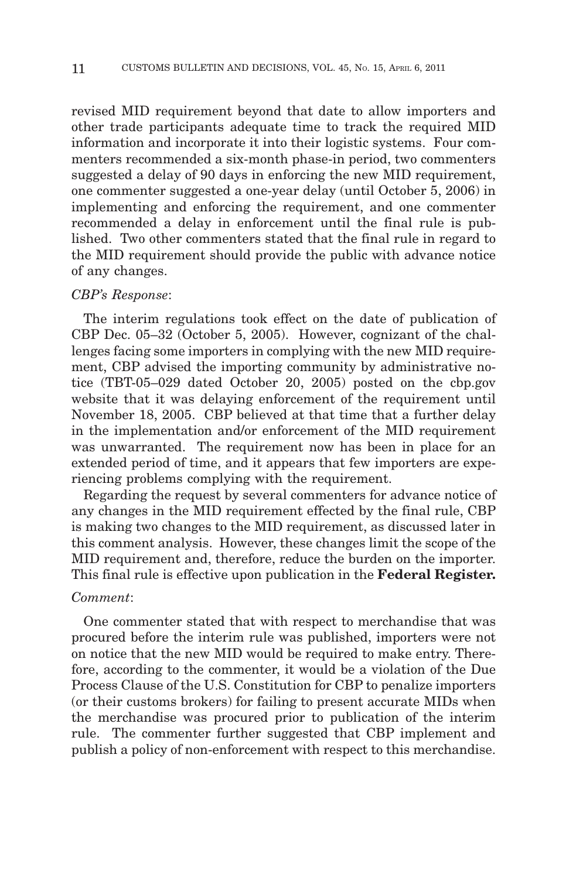revised MID requirement beyond that date to allow importers and other trade participants adequate time to track the required MID information and incorporate it into their logistic systems. Four commenters recommended a six-month phase-in period, two commenters suggested a delay of 90 days in enforcing the new MID requirement, one commenter suggested a one-year delay (until October 5, 2006) in implementing and enforcing the requirement, and one commenter recommended a delay in enforcement until the final rule is published. Two other commenters stated that the final rule in regard to the MID requirement should provide the public with advance notice of any changes.

#### *CBP's Response*:

The interim regulations took effect on the date of publication of CBP Dec. 05–32 (October 5, 2005). However, cognizant of the challenges facing some importers in complying with the new MID requirement, CBP advised the importing community by administrative notice (TBT-05–029 dated October 20, 2005) posted on the cbp.gov website that it was delaying enforcement of the requirement until November 18, 2005. CBP believed at that time that a further delay in the implementation and/or enforcement of the MID requirement was unwarranted. The requirement now has been in place for an extended period of time, and it appears that few importers are experiencing problems complying with the requirement.

Regarding the request by several commenters for advance notice of any changes in the MID requirement effected by the final rule, CBP is making two changes to the MID requirement, as discussed later in this comment analysis. However, these changes limit the scope of the MID requirement and, therefore, reduce the burden on the importer. This final rule is effective upon publication in the **Federal Register.**

#### *Comment*:

One commenter stated that with respect to merchandise that was procured before the interim rule was published, importers were not on notice that the new MID would be required to make entry. Therefore, according to the commenter, it would be a violation of the Due Process Clause of the U.S. Constitution for CBP to penalize importers (or their customs brokers) for failing to present accurate MIDs when the merchandise was procured prior to publication of the interim rule. The commenter further suggested that CBP implement and publish a policy of non-enforcement with respect to this merchandise.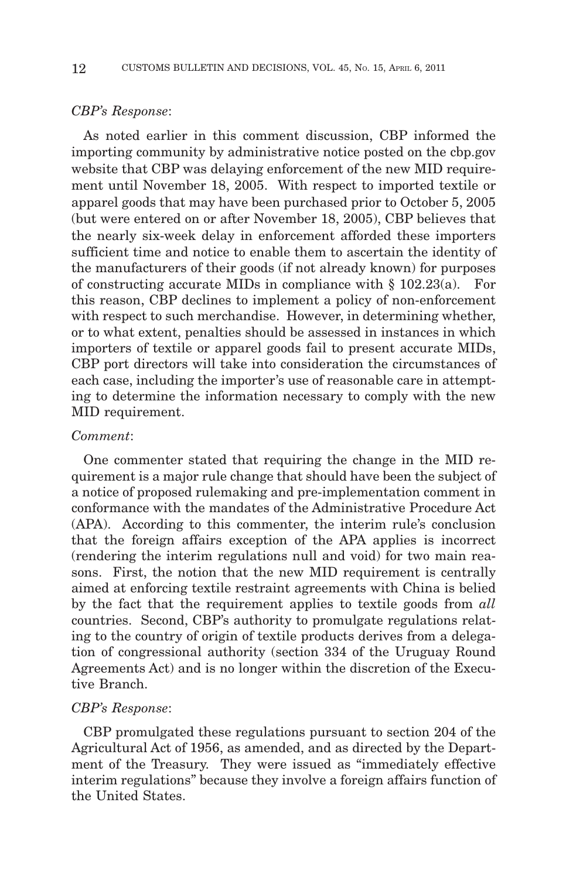#### *CBP's Response*:

As noted earlier in this comment discussion, CBP informed the importing community by administrative notice posted on the cbp.gov website that CBP was delaying enforcement of the new MID requirement until November 18, 2005. With respect to imported textile or apparel goods that may have been purchased prior to October 5, 2005 (but were entered on or after November 18, 2005), CBP believes that the nearly six-week delay in enforcement afforded these importers sufficient time and notice to enable them to ascertain the identity of the manufacturers of their goods (if not already known) for purposes of constructing accurate MIDs in compliance with § 102.23(a). For this reason, CBP declines to implement a policy of non-enforcement with respect to such merchandise. However, in determining whether, or to what extent, penalties should be assessed in instances in which importers of textile or apparel goods fail to present accurate MIDs, CBP port directors will take into consideration the circumstances of each case, including the importer's use of reasonable care in attempting to determine the information necessary to comply with the new MID requirement.

#### *Comment*:

One commenter stated that requiring the change in the MID requirement is a major rule change that should have been the subject of a notice of proposed rulemaking and pre-implementation comment in conformance with the mandates of the Administrative Procedure Act (APA). According to this commenter, the interim rule's conclusion that the foreign affairs exception of the APA applies is incorrect (rendering the interim regulations null and void) for two main reasons. First, the notion that the new MID requirement is centrally aimed at enforcing textile restraint agreements with China is belied by the fact that the requirement applies to textile goods from *all* countries. Second, CBP's authority to promulgate regulations relating to the country of origin of textile products derives from a delegation of congressional authority (section 334 of the Uruguay Round Agreements Act) and is no longer within the discretion of the Executive Branch.

#### *CBP's Response*:

CBP promulgated these regulations pursuant to section 204 of the Agricultural Act of 1956, as amended, and as directed by the Department of the Treasury. They were issued as "immediately effective interim regulations" because they involve a foreign affairs function of the United States.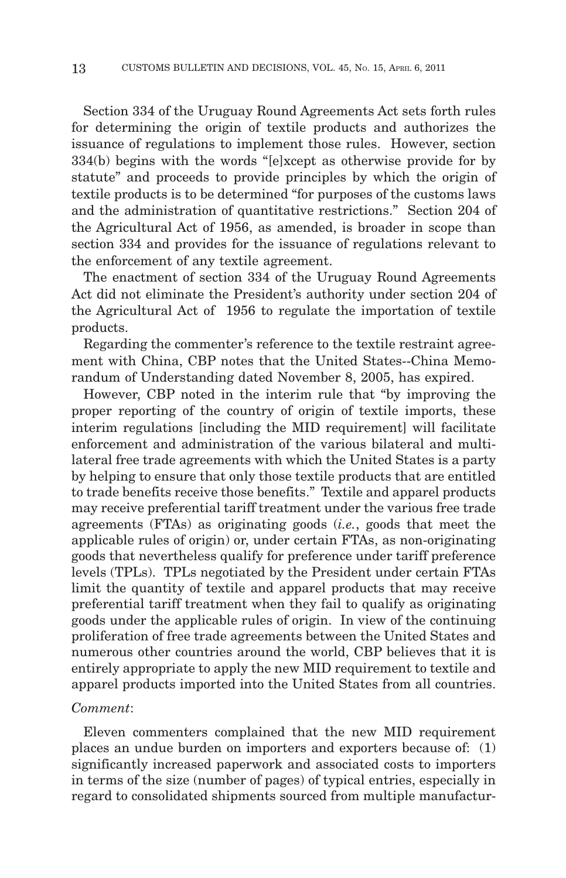Section 334 of the Uruguay Round Agreements Act sets forth rules for determining the origin of textile products and authorizes the issuance of regulations to implement those rules. However, section 334(b) begins with the words "[e]xcept as otherwise provide for by statute" and proceeds to provide principles by which the origin of textile products is to be determined "for purposes of the customs laws and the administration of quantitative restrictions." Section 204 of the Agricultural Act of 1956, as amended, is broader in scope than section 334 and provides for the issuance of regulations relevant to the enforcement of any textile agreement.

The enactment of section 334 of the Uruguay Round Agreements Act did not eliminate the President's authority under section 204 of the Agricultural Act of 1956 to regulate the importation of textile products.

Regarding the commenter's reference to the textile restraint agreement with China, CBP notes that the United States--China Memorandum of Understanding dated November 8, 2005, has expired.

However, CBP noted in the interim rule that "by improving the proper reporting of the country of origin of textile imports, these interim regulations [including the MID requirement] will facilitate enforcement and administration of the various bilateral and multilateral free trade agreements with which the United States is a party by helping to ensure that only those textile products that are entitled to trade benefits receive those benefits." Textile and apparel products may receive preferential tariff treatment under the various free trade agreements (FTAs) as originating goods (*i.e.*, goods that meet the applicable rules of origin) or, under certain FTAs, as non-originating goods that nevertheless qualify for preference under tariff preference levels (TPLs). TPLs negotiated by the President under certain FTAs limit the quantity of textile and apparel products that may receive preferential tariff treatment when they fail to qualify as originating goods under the applicable rules of origin. In view of the continuing proliferation of free trade agreements between the United States and numerous other countries around the world, CBP believes that it is entirely appropriate to apply the new MID requirement to textile and apparel products imported into the United States from all countries.

#### *Comment*:

Eleven commenters complained that the new MID requirement places an undue burden on importers and exporters because of: (1) significantly increased paperwork and associated costs to importers in terms of the size (number of pages) of typical entries, especially in regard to consolidated shipments sourced from multiple manufactur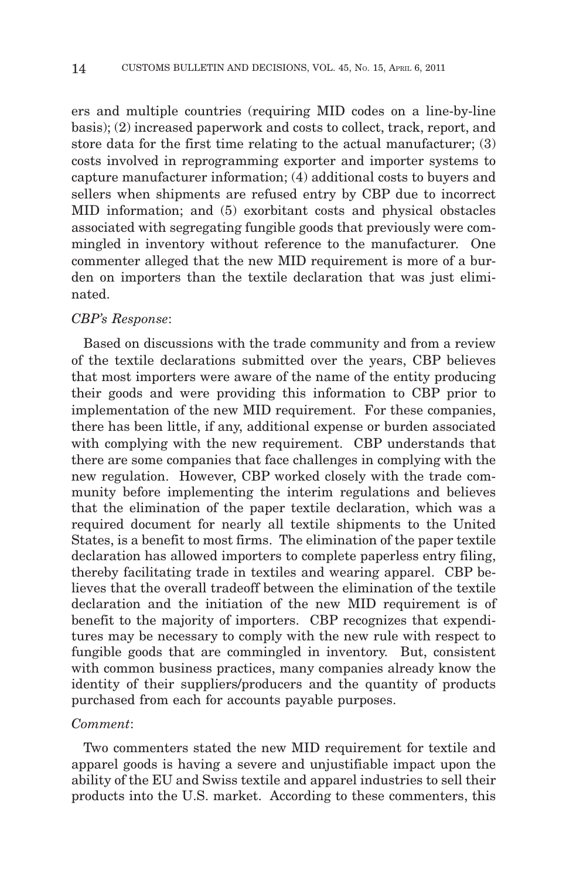ers and multiple countries (requiring MID codes on a line-by-line basis); (2) increased paperwork and costs to collect, track, report, and store data for the first time relating to the actual manufacturer; (3) costs involved in reprogramming exporter and importer systems to capture manufacturer information; (4) additional costs to buyers and sellers when shipments are refused entry by CBP due to incorrect MID information; and (5) exorbitant costs and physical obstacles associated with segregating fungible goods that previously were commingled in inventory without reference to the manufacturer. One commenter alleged that the new MID requirement is more of a burden on importers than the textile declaration that was just eliminated.

## *CBP's Response*:

Based on discussions with the trade community and from a review of the textile declarations submitted over the years, CBP believes that most importers were aware of the name of the entity producing their goods and were providing this information to CBP prior to implementation of the new MID requirement. For these companies, there has been little, if any, additional expense or burden associated with complying with the new requirement. CBP understands that there are some companies that face challenges in complying with the new regulation. However, CBP worked closely with the trade community before implementing the interim regulations and believes that the elimination of the paper textile declaration, which was a required document for nearly all textile shipments to the United States, is a benefit to most firms. The elimination of the paper textile declaration has allowed importers to complete paperless entry filing, thereby facilitating trade in textiles and wearing apparel. CBP believes that the overall tradeoff between the elimination of the textile declaration and the initiation of the new MID requirement is of benefit to the majority of importers. CBP recognizes that expenditures may be necessary to comply with the new rule with respect to fungible goods that are commingled in inventory. But, consistent with common business practices, many companies already know the identity of their suppliers/producers and the quantity of products purchased from each for accounts payable purposes.

#### *Comment*:

Two commenters stated the new MID requirement for textile and apparel goods is having a severe and unjustifiable impact upon the ability of the EU and Swiss textile and apparel industries to sell their products into the U.S. market. According to these commenters, this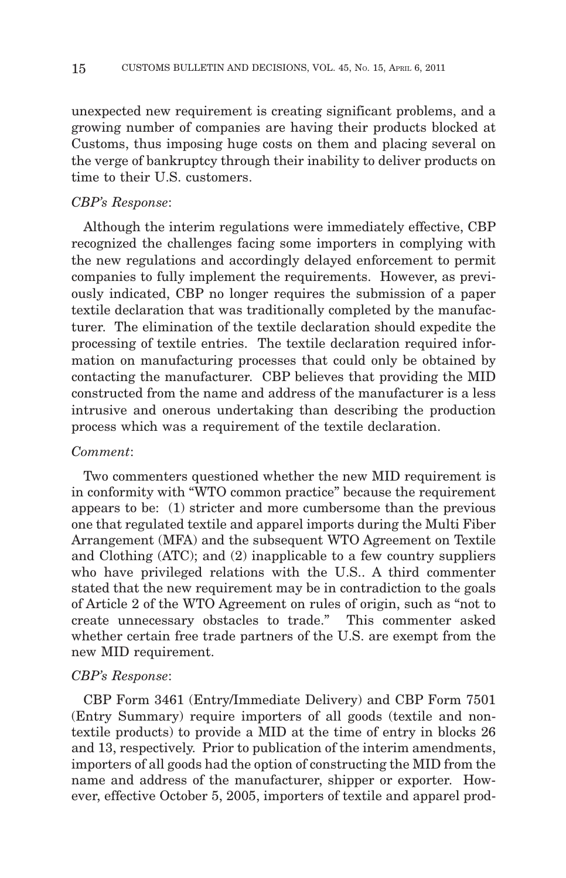unexpected new requirement is creating significant problems, and a growing number of companies are having their products blocked at Customs, thus imposing huge costs on them and placing several on the verge of bankruptcy through their inability to deliver products on time to their U.S. customers.

#### *CBP's Response*:

Although the interim regulations were immediately effective, CBP recognized the challenges facing some importers in complying with the new regulations and accordingly delayed enforcement to permit companies to fully implement the requirements. However, as previously indicated, CBP no longer requires the submission of a paper textile declaration that was traditionally completed by the manufacturer. The elimination of the textile declaration should expedite the processing of textile entries. The textile declaration required information on manufacturing processes that could only be obtained by contacting the manufacturer. CBP believes that providing the MID constructed from the name and address of the manufacturer is a less intrusive and onerous undertaking than describing the production process which was a requirement of the textile declaration.

#### *Comment*:

Two commenters questioned whether the new MID requirement is in conformity with "WTO common practice" because the requirement appears to be: (1) stricter and more cumbersome than the previous one that regulated textile and apparel imports during the Multi Fiber Arrangement (MFA) and the subsequent WTO Agreement on Textile and Clothing (ATC); and (2) inapplicable to a few country suppliers who have privileged relations with the U.S.. A third commenter stated that the new requirement may be in contradiction to the goals of Article 2 of the WTO Agreement on rules of origin, such as "not to create unnecessary obstacles to trade." This commenter asked whether certain free trade partners of the U.S. are exempt from the new MID requirement.

#### *CBP's Response*:

CBP Form 3461 (Entry/Immediate Delivery) and CBP Form 7501 (Entry Summary) require importers of all goods (textile and nontextile products) to provide a MID at the time of entry in blocks 26 and 13, respectively. Prior to publication of the interim amendments, importers of all goods had the option of constructing the MID from the name and address of the manufacturer, shipper or exporter. However, effective October 5, 2005, importers of textile and apparel prod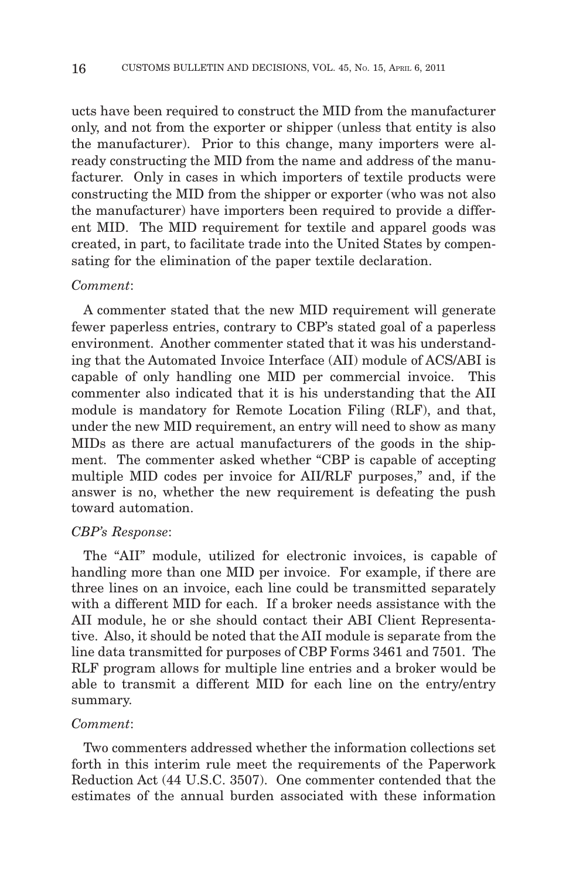ucts have been required to construct the MID from the manufacturer only, and not from the exporter or shipper (unless that entity is also the manufacturer). Prior to this change, many importers were already constructing the MID from the name and address of the manufacturer. Only in cases in which importers of textile products were constructing the MID from the shipper or exporter (who was not also the manufacturer) have importers been required to provide a different MID. The MID requirement for textile and apparel goods was created, in part, to facilitate trade into the United States by compensating for the elimination of the paper textile declaration.

#### *Comment*:

A commenter stated that the new MID requirement will generate fewer paperless entries, contrary to CBP's stated goal of a paperless environment. Another commenter stated that it was his understanding that the Automated Invoice Interface (AII) module of ACS/ABI is capable of only handling one MID per commercial invoice. This commenter also indicated that it is his understanding that the AII module is mandatory for Remote Location Filing (RLF), and that, under the new MID requirement, an entry will need to show as many MIDs as there are actual manufacturers of the goods in the shipment. The commenter asked whether "CBP is capable of accepting multiple MID codes per invoice for AII/RLF purposes," and, if the answer is no, whether the new requirement is defeating the push toward automation.

#### *CBP's Response*:

The "AII" module, utilized for electronic invoices, is capable of handling more than one MID per invoice. For example, if there are three lines on an invoice, each line could be transmitted separately with a different MID for each. If a broker needs assistance with the AII module, he or she should contact their ABI Client Representative. Also, it should be noted that the AII module is separate from the line data transmitted for purposes of CBP Forms 3461 and 7501. The RLF program allows for multiple line entries and a broker would be able to transmit a different MID for each line on the entry/entry summary.

## *Comment*:

Two commenters addressed whether the information collections set forth in this interim rule meet the requirements of the Paperwork Reduction Act (44 U.S.C. 3507). One commenter contended that the estimates of the annual burden associated with these information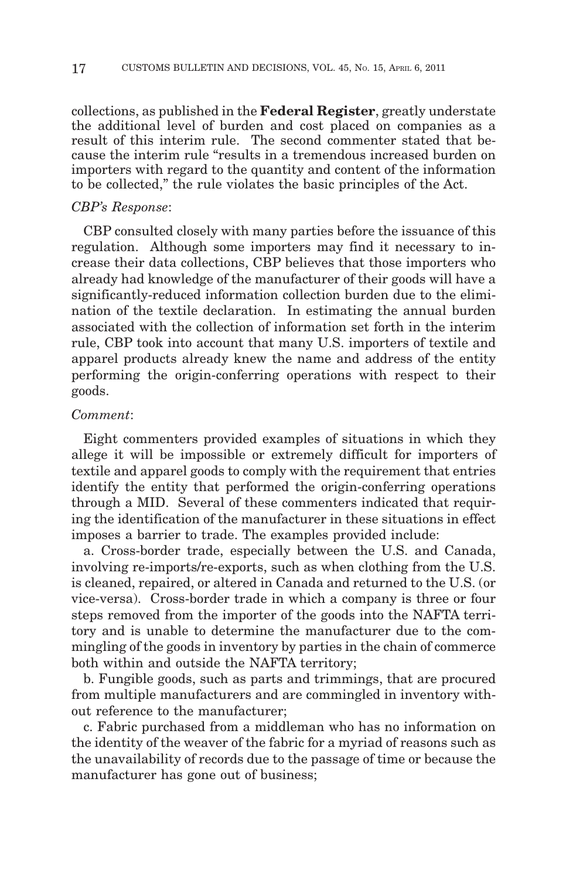collections, as published in the **Federal Register**, greatly understate the additional level of burden and cost placed on companies as a result of this interim rule. The second commenter stated that because the interim rule "results in a tremendous increased burden on importers with regard to the quantity and content of the information to be collected," the rule violates the basic principles of the Act.

## *CBP's Response*:

CBP consulted closely with many parties before the issuance of this regulation. Although some importers may find it necessary to increase their data collections, CBP believes that those importers who already had knowledge of the manufacturer of their goods will have a significantly-reduced information collection burden due to the elimination of the textile declaration. In estimating the annual burden associated with the collection of information set forth in the interim rule, CBP took into account that many U.S. importers of textile and apparel products already knew the name and address of the entity performing the origin-conferring operations with respect to their goods.

#### *Comment*:

Eight commenters provided examples of situations in which they allege it will be impossible or extremely difficult for importers of textile and apparel goods to comply with the requirement that entries identify the entity that performed the origin-conferring operations through a MID. Several of these commenters indicated that requiring the identification of the manufacturer in these situations in effect imposes a barrier to trade. The examples provided include:

a. Cross-border trade, especially between the U.S. and Canada, involving re-imports/re-exports, such as when clothing from the U.S. is cleaned, repaired, or altered in Canada and returned to the U.S. (or vice-versa). Cross-border trade in which a company is three or four steps removed from the importer of the goods into the NAFTA territory and is unable to determine the manufacturer due to the commingling of the goods in inventory by parties in the chain of commerce both within and outside the NAFTA territory;

b. Fungible goods, such as parts and trimmings, that are procured from multiple manufacturers and are commingled in inventory without reference to the manufacturer;

c. Fabric purchased from a middleman who has no information on the identity of the weaver of the fabric for a myriad of reasons such as the unavailability of records due to the passage of time or because the manufacturer has gone out of business;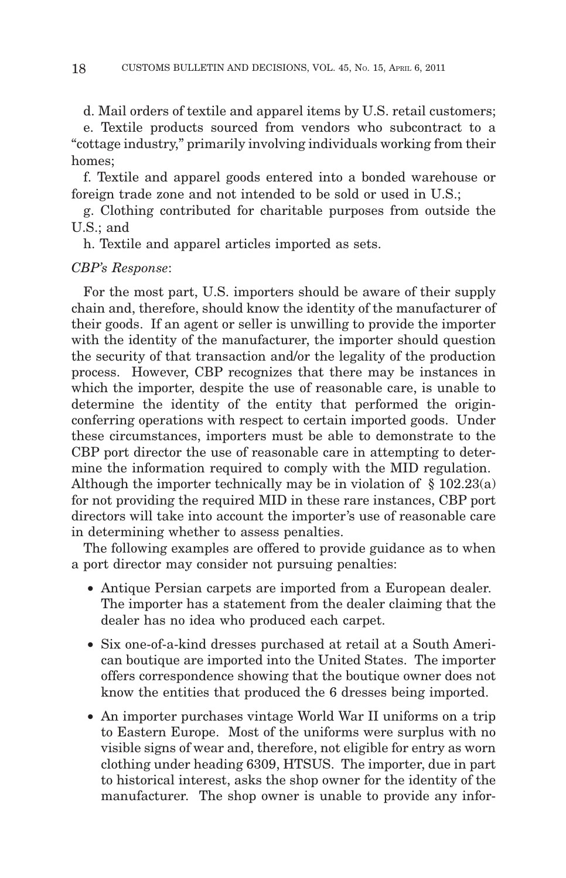d. Mail orders of textile and apparel items by U.S. retail customers;

e. Textile products sourced from vendors who subcontract to a "cottage industry," primarily involving individuals working from their homes;

f. Textile and apparel goods entered into a bonded warehouse or foreign trade zone and not intended to be sold or used in U.S.;

g. Clothing contributed for charitable purposes from outside the U.S.; and

h. Textile and apparel articles imported as sets.

## *CBP's Response*:

For the most part, U.S. importers should be aware of their supply chain and, therefore, should know the identity of the manufacturer of their goods. If an agent or seller is unwilling to provide the importer with the identity of the manufacturer, the importer should question the security of that transaction and/or the legality of the production process. However, CBP recognizes that there may be instances in which the importer, despite the use of reasonable care, is unable to determine the identity of the entity that performed the originconferring operations with respect to certain imported goods. Under these circumstances, importers must be able to demonstrate to the CBP port director the use of reasonable care in attempting to determine the information required to comply with the MID regulation. Although the importer technically may be in violation of § 102.23(a) for not providing the required MID in these rare instances, CBP port directors will take into account the importer's use of reasonable care in determining whether to assess penalties.

The following examples are offered to provide guidance as to when a port director may consider not pursuing penalties:

- Antique Persian carpets are imported from a European dealer. The importer has a statement from the dealer claiming that the dealer has no idea who produced each carpet.
- Six one-of-a-kind dresses purchased at retail at a South American boutique are imported into the United States. The importer offers correspondence showing that the boutique owner does not know the entities that produced the 6 dresses being imported.
- An importer purchases vintage World War II uniforms on a trip to Eastern Europe. Most of the uniforms were surplus with no visible signs of wear and, therefore, not eligible for entry as worn clothing under heading 6309, HTSUS. The importer, due in part to historical interest, asks the shop owner for the identity of the manufacturer. The shop owner is unable to provide any infor-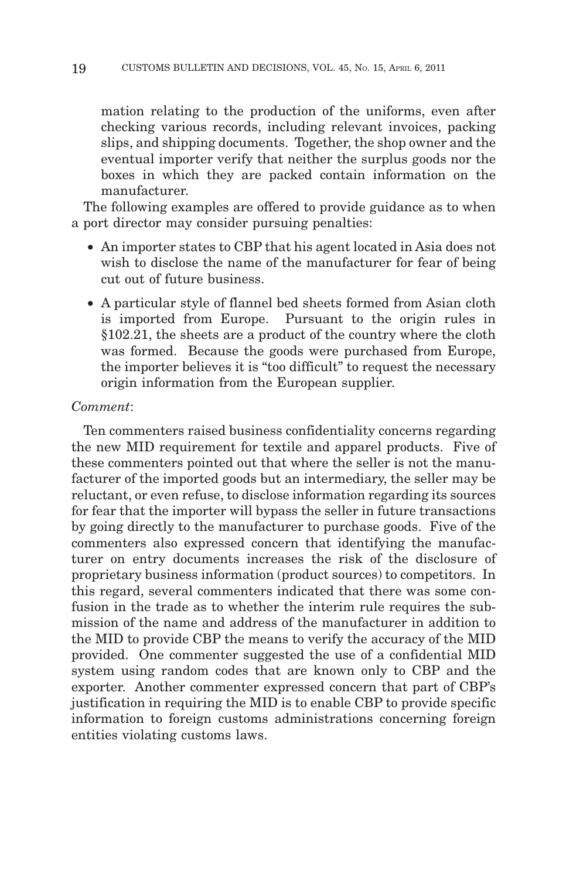mation relating to the production of the uniforms, even after checking various records, including relevant invoices, packing slips, and shipping documents. Together, the shop owner and the eventual importer verify that neither the surplus goods nor the boxes in which they are packed contain information on the manufacturer.

The following examples are offered to provide guidance as to when a port director may consider pursuing penalties:

- An importer states to CBP that his agent located in Asia does not wish to disclose the name of the manufacturer for fear of being cut out of future business.
- A particular style of flannel bed sheets formed from Asian cloth is imported from Europe. Pursuant to the origin rules in §102.21, the sheets are a product of the country where the cloth was formed. Because the goods were purchased from Europe, the importer believes it is "too difficult" to request the necessary origin information from the European supplier.

## *Comment*:

Ten commenters raised business confidentiality concerns regarding the new MID requirement for textile and apparel products. Five of these commenters pointed out that where the seller is not the manufacturer of the imported goods but an intermediary, the seller may be reluctant, or even refuse, to disclose information regarding its sources for fear that the importer will bypass the seller in future transactions by going directly to the manufacturer to purchase goods. Five of the commenters also expressed concern that identifying the manufacturer on entry documents increases the risk of the disclosure of proprietary business information (product sources) to competitors. In this regard, several commenters indicated that there was some confusion in the trade as to whether the interim rule requires the submission of the name and address of the manufacturer in addition to the MID to provide CBP the means to verify the accuracy of the MID provided. One commenter suggested the use of a confidential MID system using random codes that are known only to CBP and the exporter. Another commenter expressed concern that part of CBP's justification in requiring the MID is to enable CBP to provide specific information to foreign customs administrations concerning foreign entities violating customs laws.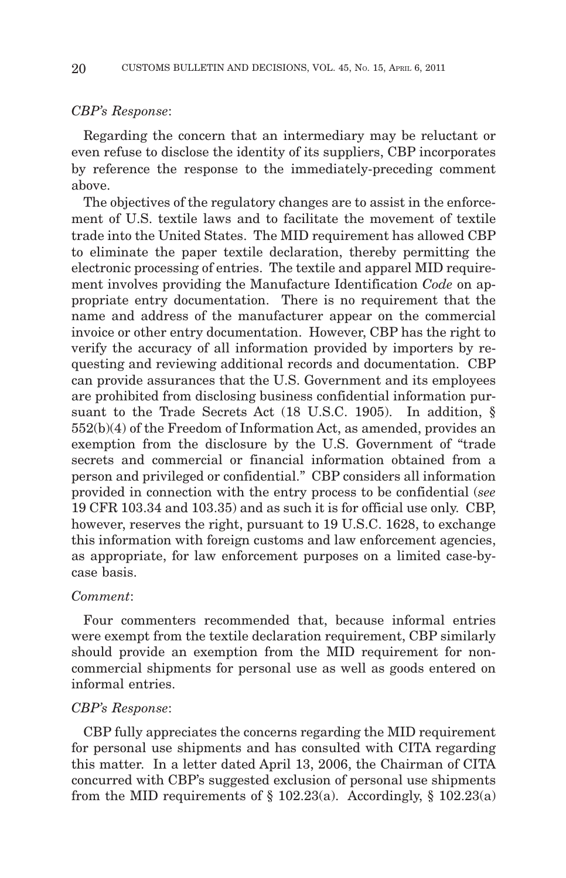#### *CBP's Response*:

Regarding the concern that an intermediary may be reluctant or even refuse to disclose the identity of its suppliers, CBP incorporates by reference the response to the immediately-preceding comment above.

The objectives of the regulatory changes are to assist in the enforcement of U.S. textile laws and to facilitate the movement of textile trade into the United States. The MID requirement has allowed CBP to eliminate the paper textile declaration, thereby permitting the electronic processing of entries. The textile and apparel MID requirement involves providing the Manufacture Identification *Code* on appropriate entry documentation. There is no requirement that the name and address of the manufacturer appear on the commercial invoice or other entry documentation. However, CBP has the right to verify the accuracy of all information provided by importers by requesting and reviewing additional records and documentation. CBP can provide assurances that the U.S. Government and its employees are prohibited from disclosing business confidential information pursuant to the Trade Secrets Act (18 U.S.C. 1905). In addition, § 552(b)(4) of the Freedom of Information Act, as amended, provides an exemption from the disclosure by the U.S. Government of "trade secrets and commercial or financial information obtained from a person and privileged or confidential." CBP considers all information provided in connection with the entry process to be confidential (*see* 19 CFR 103.34 and 103.35) and as such it is for official use only. CBP, however, reserves the right, pursuant to 19 U.S.C. 1628, to exchange this information with foreign customs and law enforcement agencies, as appropriate, for law enforcement purposes on a limited case-bycase basis.

#### *Comment*:

Four commenters recommended that, because informal entries were exempt from the textile declaration requirement, CBP similarly should provide an exemption from the MID requirement for noncommercial shipments for personal use as well as goods entered on informal entries.

#### *CBP's Response*:

CBP fully appreciates the concerns regarding the MID requirement for personal use shipments and has consulted with CITA regarding this matter. In a letter dated April 13, 2006, the Chairman of CITA concurred with CBP's suggested exclusion of personal use shipments from the MID requirements of  $\S$  102.23(a). Accordingly,  $\S$  102.23(a)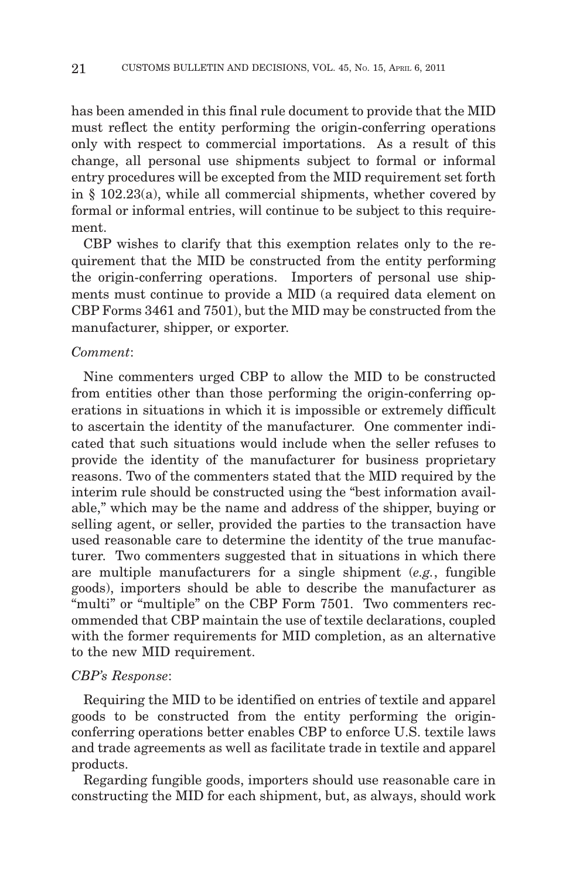has been amended in this final rule document to provide that the MID must reflect the entity performing the origin-conferring operations only with respect to commercial importations. As a result of this change, all personal use shipments subject to formal or informal entry procedures will be excepted from the MID requirement set forth in § 102.23(a), while all commercial shipments, whether covered by formal or informal entries, will continue to be subject to this requirement.

CBP wishes to clarify that this exemption relates only to the requirement that the MID be constructed from the entity performing the origin-conferring operations. Importers of personal use shipments must continue to provide a MID (a required data element on CBP Forms 3461 and 7501), but the MID may be constructed from the manufacturer, shipper, or exporter.

#### *Comment*:

Nine commenters urged CBP to allow the MID to be constructed from entities other than those performing the origin-conferring operations in situations in which it is impossible or extremely difficult to ascertain the identity of the manufacturer. One commenter indicated that such situations would include when the seller refuses to provide the identity of the manufacturer for business proprietary reasons. Two of the commenters stated that the MID required by the interim rule should be constructed using the "best information available," which may be the name and address of the shipper, buying or selling agent, or seller, provided the parties to the transaction have used reasonable care to determine the identity of the true manufacturer. Two commenters suggested that in situations in which there are multiple manufacturers for a single shipment (*e.g.*, fungible goods), importers should be able to describe the manufacturer as "multi" or "multiple" on the CBP Form 7501. Two commenters recommended that CBP maintain the use of textile declarations, coupled with the former requirements for MID completion, as an alternative to the new MID requirement.

#### *CBP's Response*:

Requiring the MID to be identified on entries of textile and apparel goods to be constructed from the entity performing the originconferring operations better enables CBP to enforce U.S. textile laws and trade agreements as well as facilitate trade in textile and apparel products.

Regarding fungible goods, importers should use reasonable care in constructing the MID for each shipment, but, as always, should work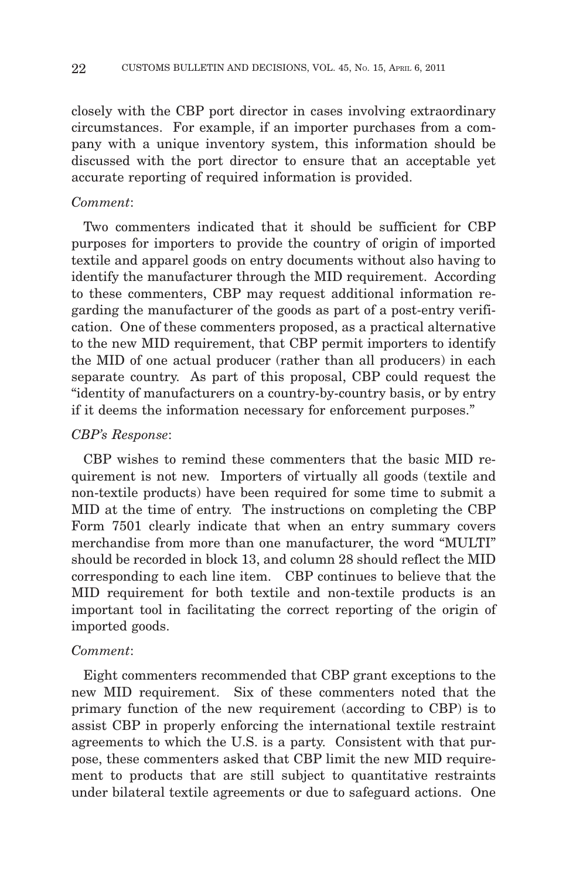closely with the CBP port director in cases involving extraordinary circumstances. For example, if an importer purchases from a company with a unique inventory system, this information should be discussed with the port director to ensure that an acceptable yet accurate reporting of required information is provided.

#### *Comment*:

Two commenters indicated that it should be sufficient for CBP purposes for importers to provide the country of origin of imported textile and apparel goods on entry documents without also having to identify the manufacturer through the MID requirement. According to these commenters, CBP may request additional information regarding the manufacturer of the goods as part of a post-entry verification. One of these commenters proposed, as a practical alternative to the new MID requirement, that CBP permit importers to identify the MID of one actual producer (rather than all producers) in each separate country. As part of this proposal, CBP could request the "identity of manufacturers on a country-by-country basis, or by entry if it deems the information necessary for enforcement purposes."

#### *CBP's Response*:

CBP wishes to remind these commenters that the basic MID requirement is not new. Importers of virtually all goods (textile and non-textile products) have been required for some time to submit a MID at the time of entry. The instructions on completing the CBP Form 7501 clearly indicate that when an entry summary covers merchandise from more than one manufacturer, the word "MULTI" should be recorded in block 13, and column 28 should reflect the MID corresponding to each line item. CBP continues to believe that the MID requirement for both textile and non-textile products is an important tool in facilitating the correct reporting of the origin of imported goods.

#### *Comment*:

Eight commenters recommended that CBP grant exceptions to the new MID requirement. Six of these commenters noted that the primary function of the new requirement (according to CBP) is to assist CBP in properly enforcing the international textile restraint agreements to which the U.S. is a party. Consistent with that purpose, these commenters asked that CBP limit the new MID requirement to products that are still subject to quantitative restraints under bilateral textile agreements or due to safeguard actions. One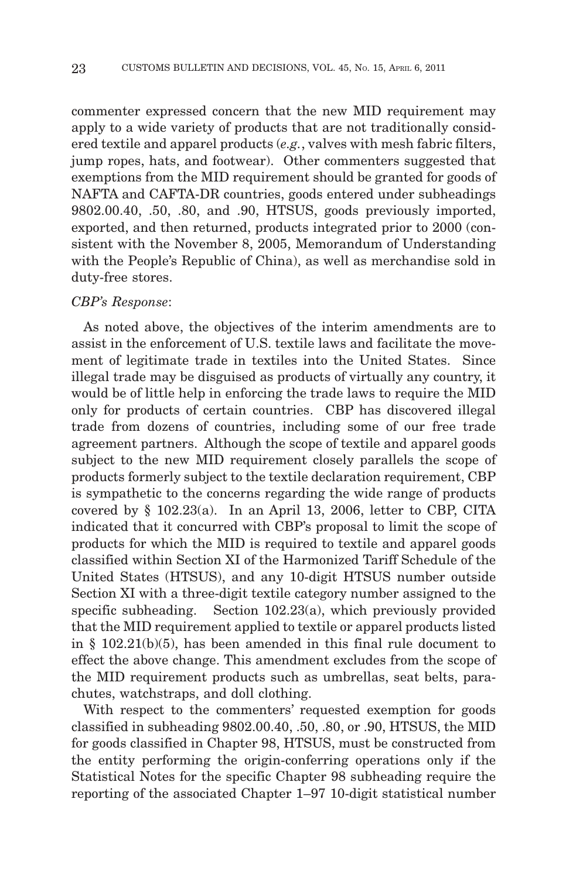commenter expressed concern that the new MID requirement may apply to a wide variety of products that are not traditionally considered textile and apparel products (*e.g.*, valves with mesh fabric filters, jump ropes, hats, and footwear). Other commenters suggested that exemptions from the MID requirement should be granted for goods of NAFTA and CAFTA-DR countries, goods entered under subheadings 9802.00.40, .50, .80, and .90, HTSUS, goods previously imported, exported, and then returned, products integrated prior to 2000 (consistent with the November 8, 2005, Memorandum of Understanding with the People's Republic of China), as well as merchandise sold in duty-free stores.

#### *CBP's Response*:

As noted above, the objectives of the interim amendments are to assist in the enforcement of U.S. textile laws and facilitate the movement of legitimate trade in textiles into the United States. Since illegal trade may be disguised as products of virtually any country, it would be of little help in enforcing the trade laws to require the MID only for products of certain countries. CBP has discovered illegal trade from dozens of countries, including some of our free trade agreement partners. Although the scope of textile and apparel goods subject to the new MID requirement closely parallels the scope of products formerly subject to the textile declaration requirement, CBP is sympathetic to the concerns regarding the wide range of products covered by § 102.23(a). In an April 13, 2006, letter to CBP, CITA indicated that it concurred with CBP's proposal to limit the scope of products for which the MID is required to textile and apparel goods classified within Section XI of the Harmonized Tariff Schedule of the United States (HTSUS), and any 10-digit HTSUS number outside Section XI with a three-digit textile category number assigned to the specific subheading. Section 102.23(a), which previously provided that the MID requirement applied to textile or apparel products listed in § 102.21(b)(5), has been amended in this final rule document to effect the above change. This amendment excludes from the scope of the MID requirement products such as umbrellas, seat belts, parachutes, watchstraps, and doll clothing.

With respect to the commenters' requested exemption for goods classified in subheading 9802.00.40, .50, .80, or .90, HTSUS, the MID for goods classified in Chapter 98, HTSUS, must be constructed from the entity performing the origin-conferring operations only if the Statistical Notes for the specific Chapter 98 subheading require the reporting of the associated Chapter 1–97 10-digit statistical number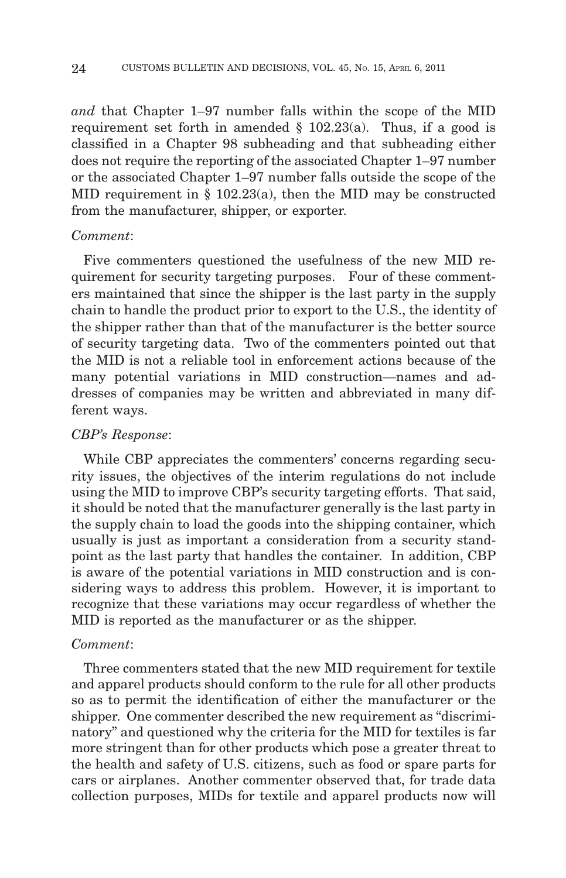*and* that Chapter 1–97 number falls within the scope of the MID requirement set forth in amended  $\S$  102.23(a). Thus, if a good is classified in a Chapter 98 subheading and that subheading either does not require the reporting of the associated Chapter 1–97 number or the associated Chapter 1–97 number falls outside the scope of the MID requirement in  $\S$  102.23(a), then the MID may be constructed from the manufacturer, shipper, or exporter.

#### *Comment*:

Five commenters questioned the usefulness of the new MID requirement for security targeting purposes. Four of these commenters maintained that since the shipper is the last party in the supply chain to handle the product prior to export to the U.S., the identity of the shipper rather than that of the manufacturer is the better source of security targeting data. Two of the commenters pointed out that the MID is not a reliable tool in enforcement actions because of the many potential variations in MID construction—names and addresses of companies may be written and abbreviated in many different ways.

#### *CBP's Response*:

While CBP appreciates the commenters' concerns regarding security issues, the objectives of the interim regulations do not include using the MID to improve CBP's security targeting efforts. That said, it should be noted that the manufacturer generally is the last party in the supply chain to load the goods into the shipping container, which usually is just as important a consideration from a security standpoint as the last party that handles the container. In addition, CBP is aware of the potential variations in MID construction and is considering ways to address this problem. However, it is important to recognize that these variations may occur regardless of whether the MID is reported as the manufacturer or as the shipper.

#### *Comment*:

Three commenters stated that the new MID requirement for textile and apparel products should conform to the rule for all other products so as to permit the identification of either the manufacturer or the shipper. One commenter described the new requirement as "discriminatory" and questioned why the criteria for the MID for textiles is far more stringent than for other products which pose a greater threat to the health and safety of U.S. citizens, such as food or spare parts for cars or airplanes. Another commenter observed that, for trade data collection purposes, MIDs for textile and apparel products now will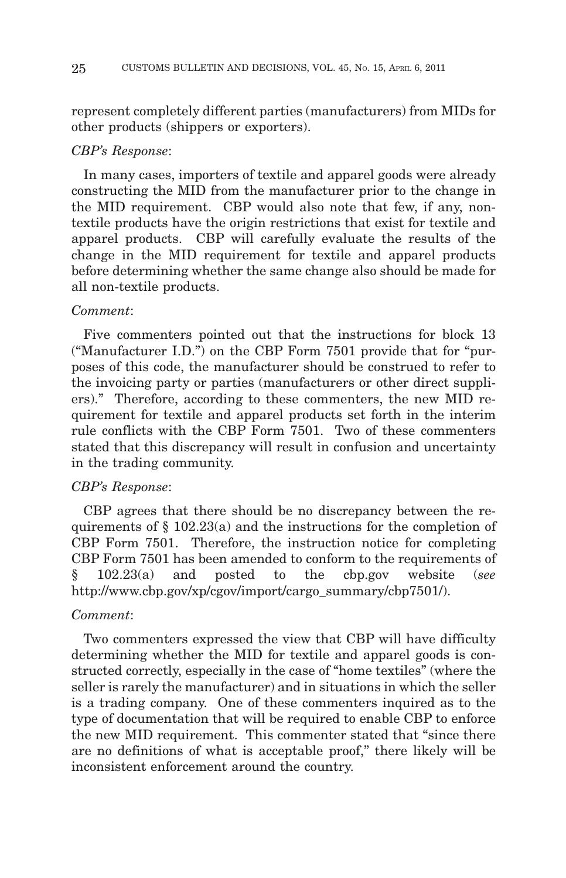represent completely different parties (manufacturers) from MIDs for other products (shippers or exporters).

#### *CBP's Response*:

In many cases, importers of textile and apparel goods were already constructing the MID from the manufacturer prior to the change in the MID requirement. CBP would also note that few, if any, nontextile products have the origin restrictions that exist for textile and apparel products. CBP will carefully evaluate the results of the change in the MID requirement for textile and apparel products before determining whether the same change also should be made for all non-textile products.

#### *Comment*:

Five commenters pointed out that the instructions for block 13 ("Manufacturer I.D.") on the CBP Form 7501 provide that for "purposes of this code, the manufacturer should be construed to refer to the invoicing party or parties (manufacturers or other direct suppliers)." Therefore, according to these commenters, the new MID requirement for textile and apparel products set forth in the interim rule conflicts with the CBP Form 7501. Two of these commenters stated that this discrepancy will result in confusion and uncertainty in the trading community.

#### *CBP's Response*:

CBP agrees that there should be no discrepancy between the requirements of § 102.23(a) and the instructions for the completion of CBP Form 7501. Therefore, the instruction notice for completing CBP Form 7501 has been amended to conform to the requirements of § 102.23(a) and posted to the cbp.gov website (*see* http://www.cbp.gov/xp/cgov/import/cargo\_summary/cbp7501/).

## *Comment*:

Two commenters expressed the view that CBP will have difficulty determining whether the MID for textile and apparel goods is constructed correctly, especially in the case of "home textiles" (where the seller is rarely the manufacturer) and in situations in which the seller is a trading company. One of these commenters inquired as to the type of documentation that will be required to enable CBP to enforce the new MID requirement. This commenter stated that "since there are no definitions of what is acceptable proof," there likely will be inconsistent enforcement around the country.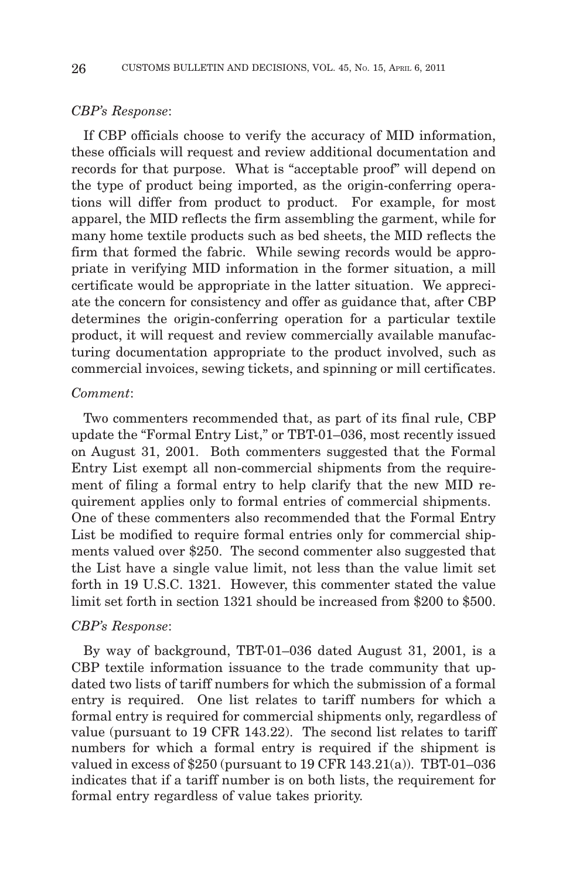#### *CBP's Response*:

If CBP officials choose to verify the accuracy of MID information, these officials will request and review additional documentation and records for that purpose. What is "acceptable proof" will depend on the type of product being imported, as the origin-conferring operations will differ from product to product. For example, for most apparel, the MID reflects the firm assembling the garment, while for many home textile products such as bed sheets, the MID reflects the firm that formed the fabric. While sewing records would be appropriate in verifying MID information in the former situation, a mill certificate would be appropriate in the latter situation. We appreciate the concern for consistency and offer as guidance that, after CBP determines the origin-conferring operation for a particular textile product, it will request and review commercially available manufacturing documentation appropriate to the product involved, such as commercial invoices, sewing tickets, and spinning or mill certificates.

#### *Comment*:

Two commenters recommended that, as part of its final rule, CBP update the "Formal Entry List," or TBT-01–036, most recently issued on August 31, 2001. Both commenters suggested that the Formal Entry List exempt all non-commercial shipments from the requirement of filing a formal entry to help clarify that the new MID requirement applies only to formal entries of commercial shipments. One of these commenters also recommended that the Formal Entry List be modified to require formal entries only for commercial shipments valued over \$250. The second commenter also suggested that the List have a single value limit, not less than the value limit set forth in 19 U.S.C. 1321. However, this commenter stated the value limit set forth in section 1321 should be increased from \$200 to \$500.

#### *CBP's Response*:

By way of background, TBT-01–036 dated August 31, 2001, is a CBP textile information issuance to the trade community that updated two lists of tariff numbers for which the submission of a formal entry is required. One list relates to tariff numbers for which a formal entry is required for commercial shipments only, regardless of value (pursuant to 19 CFR 143.22). The second list relates to tariff numbers for which a formal entry is required if the shipment is valued in excess of \$250 (pursuant to 19 CFR  $143.21(a)$ ). TBT-01-036 indicates that if a tariff number is on both lists, the requirement for formal entry regardless of value takes priority.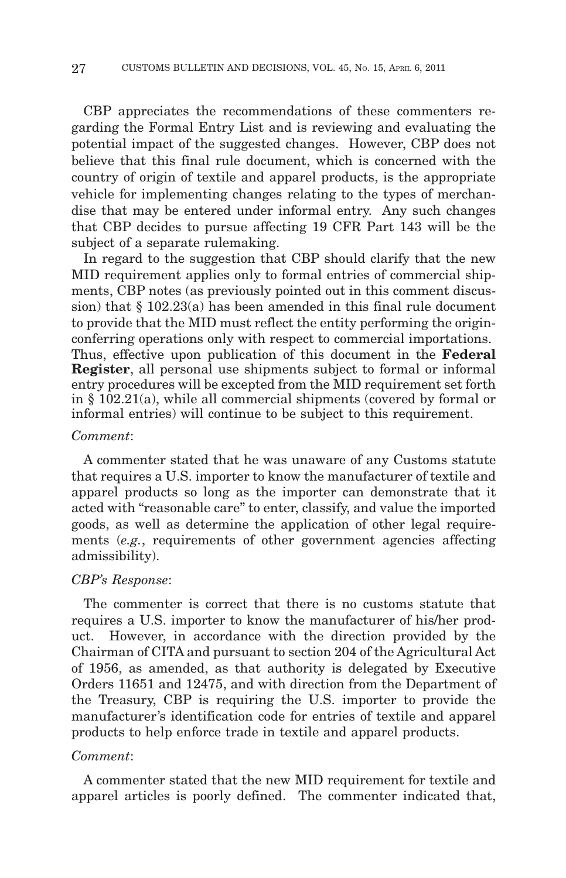CBP appreciates the recommendations of these commenters regarding the Formal Entry List and is reviewing and evaluating the potential impact of the suggested changes. However, CBP does not believe that this final rule document, which is concerned with the country of origin of textile and apparel products, is the appropriate vehicle for implementing changes relating to the types of merchandise that may be entered under informal entry. Any such changes that CBP decides to pursue affecting 19 CFR Part 143 will be the subject of a separate rulemaking.

In regard to the suggestion that CBP should clarify that the new MID requirement applies only to formal entries of commercial shipments, CBP notes (as previously pointed out in this comment discussion) that § 102.23(a) has been amended in this final rule document to provide that the MID must reflect the entity performing the originconferring operations only with respect to commercial importations. Thus, effective upon publication of this document in the **Federal Register**, all personal use shipments subject to formal or informal entry procedures will be excepted from the MID requirement set forth in § 102.21(a), while all commercial shipments (covered by formal or informal entries) will continue to be subject to this requirement.

#### *Comment*:

A commenter stated that he was unaware of any Customs statute that requires a U.S. importer to know the manufacturer of textile and apparel products so long as the importer can demonstrate that it acted with "reasonable care" to enter, classify, and value the imported goods, as well as determine the application of other legal requirements (*e.g.*, requirements of other government agencies affecting admissibility).

#### *CBP's Response*:

The commenter is correct that there is no customs statute that requires a U.S. importer to know the manufacturer of his/her product. However, in accordance with the direction provided by the Chairman of CITA and pursuant to section 204 of the Agricultural Act of 1956, as amended, as that authority is delegated by Executive Orders 11651 and 12475, and with direction from the Department of the Treasury, CBP is requiring the U.S. importer to provide the manufacturer's identification code for entries of textile and apparel products to help enforce trade in textile and apparel products.

#### *Comment*:

A commenter stated that the new MID requirement for textile and apparel articles is poorly defined. The commenter indicated that,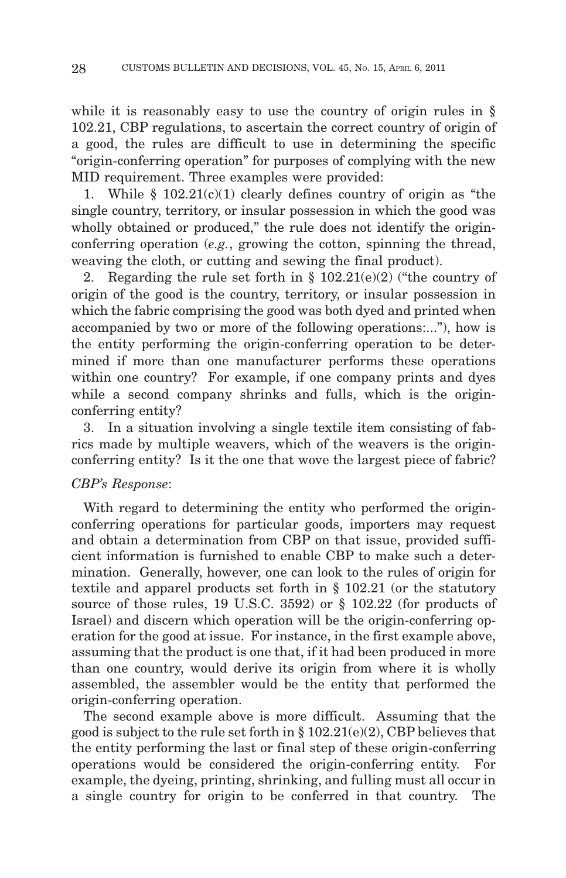while it is reasonably easy to use the country of origin rules in § 102.21, CBP regulations, to ascertain the correct country of origin of a good, the rules are difficult to use in determining the specific "origin-conferring operation" for purposes of complying with the new MID requirement. Three examples were provided:

1. While  $\S$  102.21(c)(1) clearly defines country of origin as "the single country, territory, or insular possession in which the good was wholly obtained or produced," the rule does not identify the originconferring operation (*e.g.*, growing the cotton, spinning the thread, weaving the cloth, or cutting and sewing the final product).

2. Regarding the rule set forth in  $\S$  102.21(e)(2) ("the country of origin of the good is the country, territory, or insular possession in which the fabric comprising the good was both dyed and printed when accompanied by two or more of the following operations:..."), how is the entity performing the origin-conferring operation to be determined if more than one manufacturer performs these operations within one country? For example, if one company prints and dyes while a second company shrinks and fulls, which is the originconferring entity?

3. In a situation involving a single textile item consisting of fabrics made by multiple weavers, which of the weavers is the originconferring entity? Is it the one that wove the largest piece of fabric?

## *CBP's Response*:

With regard to determining the entity who performed the originconferring operations for particular goods, importers may request and obtain a determination from CBP on that issue, provided sufficient information is furnished to enable CBP to make such a determination. Generally, however, one can look to the rules of origin for textile and apparel products set forth in § 102.21 (or the statutory source of those rules, 19 U.S.C. 3592) or § 102.22 (for products of Israel) and discern which operation will be the origin-conferring operation for the good at issue. For instance, in the first example above, assuming that the product is one that, if it had been produced in more than one country, would derive its origin from where it is wholly assembled, the assembler would be the entity that performed the origin-conferring operation.

The second example above is more difficult. Assuming that the good is subject to the rule set forth in  $\S 102.21(e)(2)$ , CBP believes that the entity performing the last or final step of these origin-conferring operations would be considered the origin-conferring entity. For example, the dyeing, printing, shrinking, and fulling must all occur in a single country for origin to be conferred in that country. The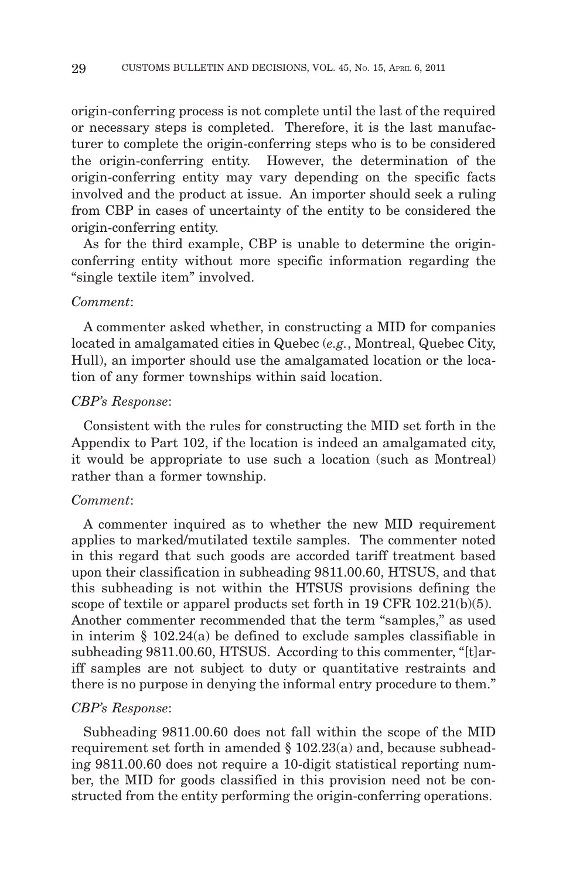origin-conferring process is not complete until the last of the required or necessary steps is completed. Therefore, it is the last manufacturer to complete the origin-conferring steps who is to be considered the origin-conferring entity. However, the determination of the origin-conferring entity may vary depending on the specific facts involved and the product at issue. An importer should seek a ruling from CBP in cases of uncertainty of the entity to be considered the origin-conferring entity.

As for the third example, CBP is unable to determine the originconferring entity without more specific information regarding the "single textile item" involved.

#### *Comment*:

A commenter asked whether, in constructing a MID for companies located in amalgamated cities in Quebec (*e.g.*, Montreal, Quebec City, Hull), an importer should use the amalgamated location or the location of any former townships within said location.

#### *CBP's Response*:

Consistent with the rules for constructing the MID set forth in the Appendix to Part 102, if the location is indeed an amalgamated city, it would be appropriate to use such a location (such as Montreal) rather than a former township.

## *Comment*:

A commenter inquired as to whether the new MID requirement applies to marked/mutilated textile samples. The commenter noted in this regard that such goods are accorded tariff treatment based upon their classification in subheading 9811.00.60, HTSUS, and that this subheading is not within the HTSUS provisions defining the scope of textile or apparel products set forth in 19 CFR 102.21(b)(5). Another commenter recommended that the term "samples," as used in interim § 102.24(a) be defined to exclude samples classifiable in subheading 9811.00.60, HTSUS. According to this commenter, "[t]ariff samples are not subject to duty or quantitative restraints and there is no purpose in denying the informal entry procedure to them."

#### *CBP's Response*:

Subheading 9811.00.60 does not fall within the scope of the MID requirement set forth in amended § 102.23(a) and, because subheading 9811.00.60 does not require a 10-digit statistical reporting number, the MID for goods classified in this provision need not be constructed from the entity performing the origin-conferring operations.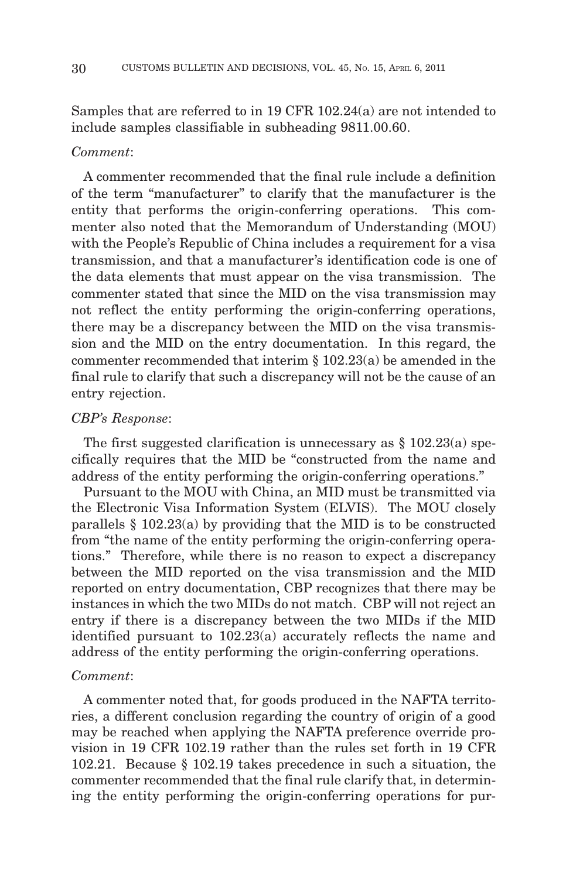Samples that are referred to in 19 CFR 102.24(a) are not intended to include samples classifiable in subheading 9811.00.60.

## *Comment*:

A commenter recommended that the final rule include a definition of the term "manufacturer" to clarify that the manufacturer is the entity that performs the origin-conferring operations. This commenter also noted that the Memorandum of Understanding (MOU) with the People's Republic of China includes a requirement for a visa transmission, and that a manufacturer's identification code is one of the data elements that must appear on the visa transmission. The commenter stated that since the MID on the visa transmission may not reflect the entity performing the origin-conferring operations, there may be a discrepancy between the MID on the visa transmission and the MID on the entry documentation. In this regard, the commenter recommended that interim § 102.23(a) be amended in the final rule to clarify that such a discrepancy will not be the cause of an entry rejection.

#### *CBP's Response*:

The first suggested clarification is unnecessary as  $\S 102.23(a)$  specifically requires that the MID be "constructed from the name and address of the entity performing the origin-conferring operations."

Pursuant to the MOU with China, an MID must be transmitted via the Electronic Visa Information System (ELVIS). The MOU closely parallels § 102.23(a) by providing that the MID is to be constructed from "the name of the entity performing the origin-conferring operations." Therefore, while there is no reason to expect a discrepancy between the MID reported on the visa transmission and the MID reported on entry documentation, CBP recognizes that there may be instances in which the two MIDs do not match. CBP will not reject an entry if there is a discrepancy between the two MIDs if the MID identified pursuant to 102.23(a) accurately reflects the name and address of the entity performing the origin-conferring operations.

#### *Comment*:

A commenter noted that, for goods produced in the NAFTA territories, a different conclusion regarding the country of origin of a good may be reached when applying the NAFTA preference override provision in 19 CFR 102.19 rather than the rules set forth in 19 CFR 102.21. Because § 102.19 takes precedence in such a situation, the commenter recommended that the final rule clarify that, in determining the entity performing the origin-conferring operations for pur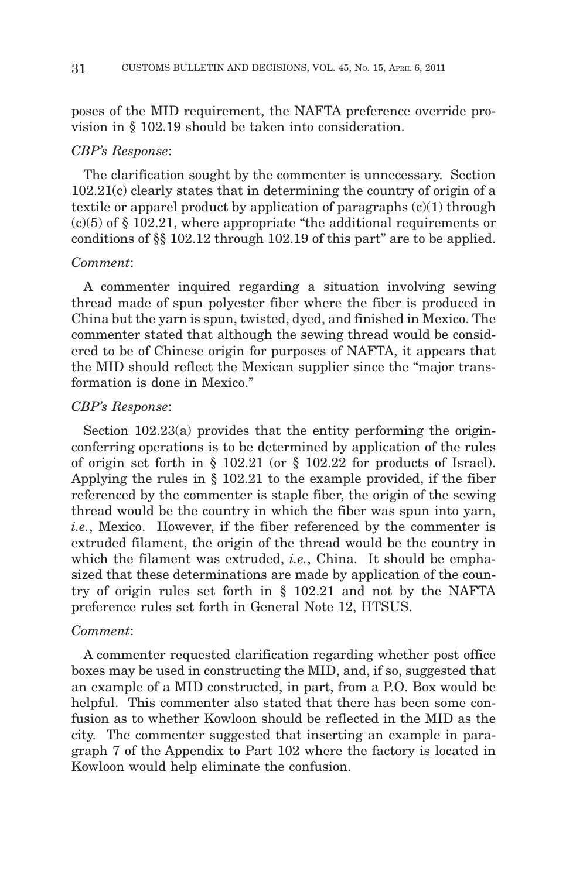poses of the MID requirement, the NAFTA preference override provision in § 102.19 should be taken into consideration.

#### *CBP's Response*:

The clarification sought by the commenter is unnecessary. Section 102.21(c) clearly states that in determining the country of origin of a textile or apparel product by application of paragraphs (c)(1) through  $(c)(5)$  of § 102.21, where appropriate "the additional requirements or conditions of §§ 102.12 through 102.19 of this part" are to be applied.

#### *Comment*:

A commenter inquired regarding a situation involving sewing thread made of spun polyester fiber where the fiber is produced in China but the yarn is spun, twisted, dyed, and finished in Mexico. The commenter stated that although the sewing thread would be considered to be of Chinese origin for purposes of NAFTA, it appears that the MID should reflect the Mexican supplier since the "major transformation is done in Mexico."

#### *CBP's Response*:

Section 102.23(a) provides that the entity performing the originconferring operations is to be determined by application of the rules of origin set forth in § 102.21 (or § 102.22 for products of Israel). Applying the rules in § 102.21 to the example provided, if the fiber referenced by the commenter is staple fiber, the origin of the sewing thread would be the country in which the fiber was spun into yarn, *i.e.*, Mexico. However, if the fiber referenced by the commenter is extruded filament, the origin of the thread would be the country in which the filament was extruded, *i.e.*, China. It should be emphasized that these determinations are made by application of the country of origin rules set forth in § 102.21 and not by the NAFTA preference rules set forth in General Note 12, HTSUS.

#### *Comment*:

A commenter requested clarification regarding whether post office boxes may be used in constructing the MID, and, if so, suggested that an example of a MID constructed, in part, from a P.O. Box would be helpful. This commenter also stated that there has been some confusion as to whether Kowloon should be reflected in the MID as the city. The commenter suggested that inserting an example in paragraph 7 of the Appendix to Part 102 where the factory is located in Kowloon would help eliminate the confusion.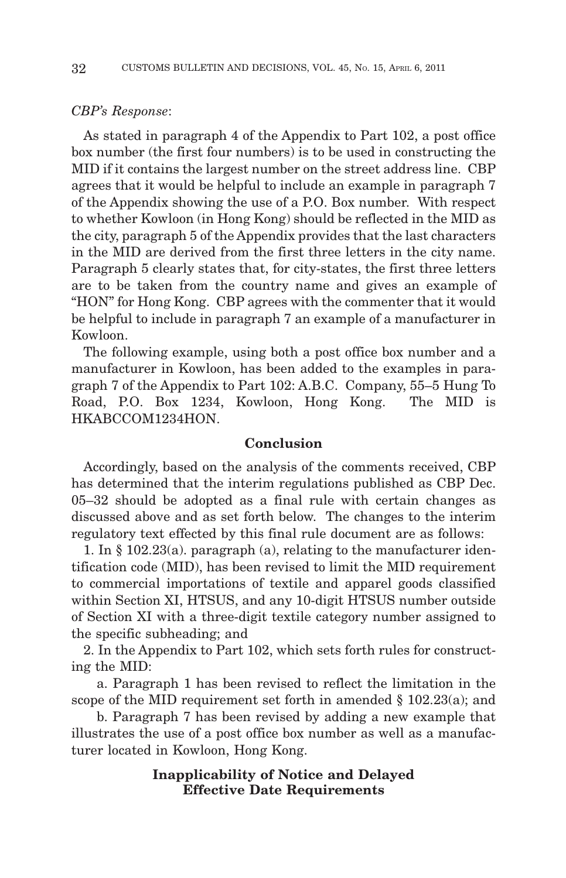#### *CBP's Response*:

As stated in paragraph 4 of the Appendix to Part 102, a post office box number (the first four numbers) is to be used in constructing the MID if it contains the largest number on the street address line. CBP agrees that it would be helpful to include an example in paragraph 7 of the Appendix showing the use of a P.O. Box number. With respect to whether Kowloon (in Hong Kong) should be reflected in the MID as the city, paragraph 5 of the Appendix provides that the last characters in the MID are derived from the first three letters in the city name. Paragraph 5 clearly states that, for city-states, the first three letters are to be taken from the country name and gives an example of "HON" for Hong Kong. CBP agrees with the commenter that it would be helpful to include in paragraph 7 an example of a manufacturer in Kowloon.

The following example, using both a post office box number and a manufacturer in Kowloon, has been added to the examples in paragraph 7 of the Appendix to Part 102: A.B.C. Company, 55–5 Hung To Road, P.O. Box 1234, Kowloon, Hong Kong. The MID is HKABCCOM1234HON.

#### **Conclusion**

Accordingly, based on the analysis of the comments received, CBP has determined that the interim regulations published as CBP Dec. 05–32 should be adopted as a final rule with certain changes as discussed above and as set forth below. The changes to the interim regulatory text effected by this final rule document are as follows:

1. In § 102.23(a). paragraph (a), relating to the manufacturer identification code (MID), has been revised to limit the MID requirement to commercial importations of textile and apparel goods classified within Section XI, HTSUS, and any 10-digit HTSUS number outside of Section XI with a three-digit textile category number assigned to the specific subheading; and

2. In the Appendix to Part 102, which sets forth rules for constructing the MID:

a. Paragraph 1 has been revised to reflect the limitation in the scope of the MID requirement set forth in amended  $\S$  102.23(a); and

b. Paragraph 7 has been revised by adding a new example that illustrates the use of a post office box number as well as a manufacturer located in Kowloon, Hong Kong.

## **Inapplicability of Notice and Delayed Effective Date Requirements**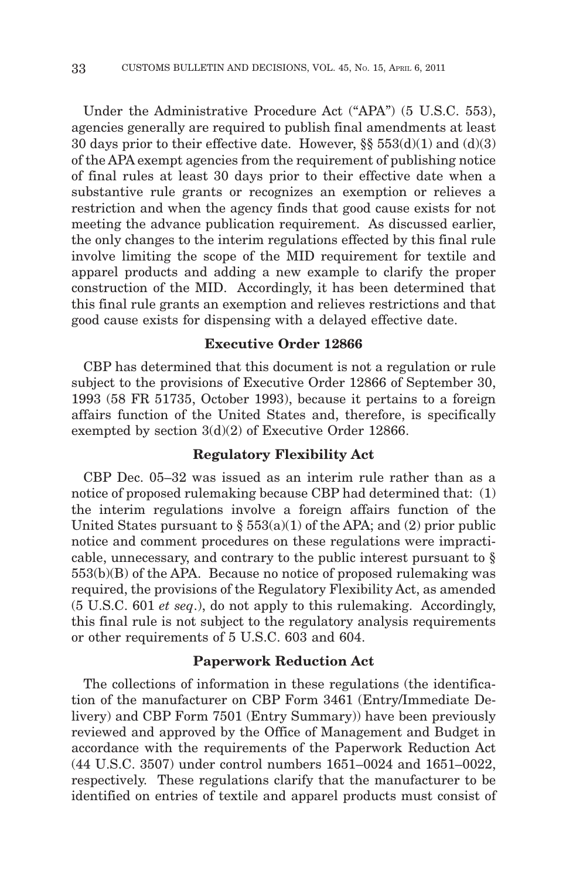Under the Administrative Procedure Act ("APA") (5 U.S.C. 553), agencies generally are required to publish final amendments at least 30 days prior to their effective date. However,  $\S\S 553(d)(1)$  and  $(d)(3)$ of the APA exempt agencies from the requirement of publishing notice of final rules at least 30 days prior to their effective date when a substantive rule grants or recognizes an exemption or relieves a restriction and when the agency finds that good cause exists for not meeting the advance publication requirement. As discussed earlier, the only changes to the interim regulations effected by this final rule involve limiting the scope of the MID requirement for textile and apparel products and adding a new example to clarify the proper construction of the MID. Accordingly, it has been determined that this final rule grants an exemption and relieves restrictions and that good cause exists for dispensing with a delayed effective date.

## **Executive Order 12866**

CBP has determined that this document is not a regulation or rule subject to the provisions of Executive Order 12866 of September 30, 1993 (58 FR 51735, October 1993), because it pertains to a foreign affairs function of the United States and, therefore, is specifically exempted by section 3(d)(2) of Executive Order 12866.

## **Regulatory Flexibility Act**

CBP Dec. 05–32 was issued as an interim rule rather than as a notice of proposed rulemaking because CBP had determined that: (1) the interim regulations involve a foreign affairs function of the United States pursuant to  $\S 553(a)(1)$  of the APA; and (2) prior public notice and comment procedures on these regulations were impracticable, unnecessary, and contrary to the public interest pursuant to § 553(b)(B) of the APA. Because no notice of proposed rulemaking was required, the provisions of the Regulatory Flexibility Act, as amended (5 U.S.C. 601 *et seq*.), do not apply to this rulemaking. Accordingly, this final rule is not subject to the regulatory analysis requirements or other requirements of 5 U.S.C. 603 and 604.

## **Paperwork Reduction Act**

The collections of information in these regulations (the identification of the manufacturer on CBP Form 3461 (Entry/Immediate Delivery) and CBP Form 7501 (Entry Summary)) have been previously reviewed and approved by the Office of Management and Budget in accordance with the requirements of the Paperwork Reduction Act (44 U.S.C. 3507) under control numbers 1651–0024 and 1651–0022, respectively. These regulations clarify that the manufacturer to be identified on entries of textile and apparel products must consist of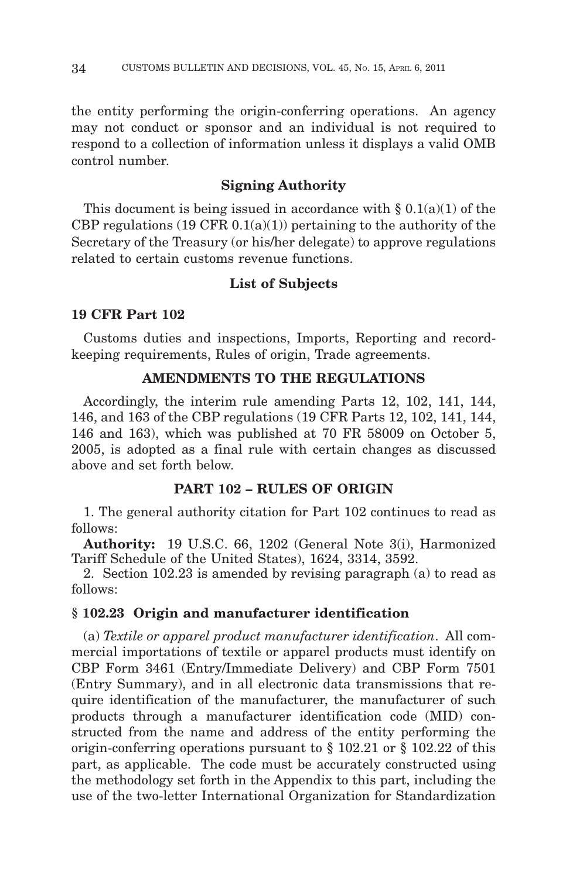the entity performing the origin-conferring operations. An agency may not conduct or sponsor and an individual is not required to respond to a collection of information unless it displays a valid OMB control number.

## **Signing Authority**

This document is being issued in accordance with  $\S 0.1(a)(1)$  of the CBP regulations  $(19 \text{ CFR } 0.1(a)(1))$  pertaining to the authority of the Secretary of the Treasury (or his/her delegate) to approve regulations related to certain customs revenue functions.

## **List of Subjects**

## **19 CFR Part 102**

Customs duties and inspections, Imports, Reporting and recordkeeping requirements, Rules of origin, Trade agreements.

#### **AMENDMENTS TO THE REGULATIONS**

Accordingly, the interim rule amending Parts 12, 102, 141, 144, 146, and 163 of the CBP regulations (19 CFR Parts 12, 102, 141, 144, 146 and 163), which was published at 70 FR 58009 on October 5, 2005, is adopted as a final rule with certain changes as discussed above and set forth below.

#### **PART 102 – RULES OF ORIGIN**

1. The general authority citation for Part 102 continues to read as follows:

**Authority:** 19 U.S.C. 66, 1202 (General Note 3(i), Harmonized Tariff Schedule of the United States), 1624, 3314, 3592.

2. Section 102.23 is amended by revising paragraph (a) to read as follows:

#### **§ 102.23 Origin and manufacturer identification**

(a) *Textile or apparel product manufacturer identification*. All commercial importations of textile or apparel products must identify on CBP Form 3461 (Entry/Immediate Delivery) and CBP Form 7501 (Entry Summary), and in all electronic data transmissions that require identification of the manufacturer, the manufacturer of such products through a manufacturer identification code (MID) constructed from the name and address of the entity performing the origin-conferring operations pursuant to § 102.21 or § 102.22 of this part, as applicable. The code must be accurately constructed using the methodology set forth in the Appendix to this part, including the use of the two-letter International Organization for Standardization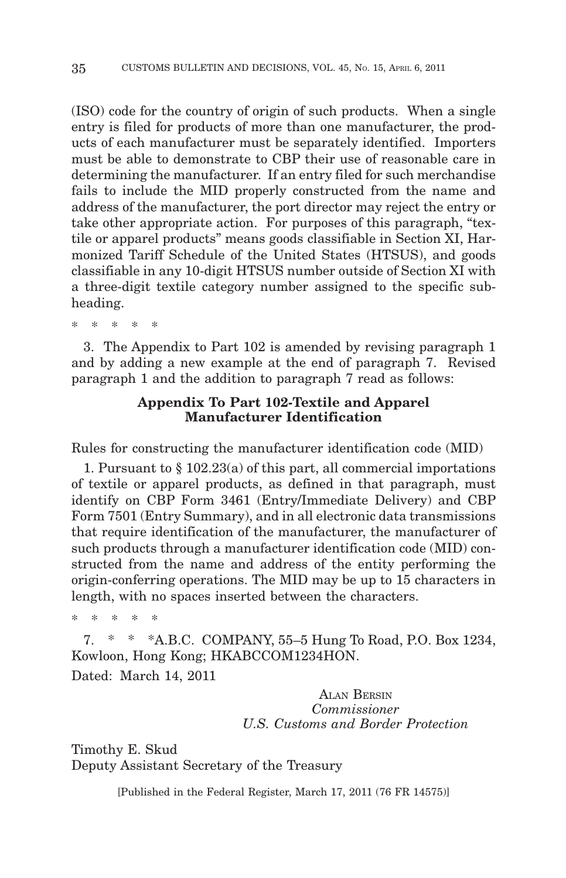(ISO) code for the country of origin of such products. When a single entry is filed for products of more than one manufacturer, the products of each manufacturer must be separately identified. Importers must be able to demonstrate to CBP their use of reasonable care in determining the manufacturer. If an entry filed for such merchandise fails to include the MID properly constructed from the name and address of the manufacturer, the port director may reject the entry or take other appropriate action. For purposes of this paragraph, "textile or apparel products" means goods classifiable in Section XI, Harmonized Tariff Schedule of the United States (HTSUS), and goods classifiable in any 10-digit HTSUS number outside of Section XI with a three-digit textile category number assigned to the specific subheading.

\*\*\*\*\*

3. The Appendix to Part 102 is amended by revising paragraph 1 and by adding a new example at the end of paragraph 7. Revised paragraph 1 and the addition to paragraph 7 read as follows:

## **Appendix To Part 102-Textile and Apparel Manufacturer Identification**

Rules for constructing the manufacturer identification code (MID)

1. Pursuant to § 102.23(a) of this part, all commercial importations of textile or apparel products, as defined in that paragraph, must identify on CBP Form 3461 (Entry/Immediate Delivery) and CBP Form 7501 (Entry Summary), and in all electronic data transmissions that require identification of the manufacturer, the manufacturer of such products through a manufacturer identification code (MID) constructed from the name and address of the entity performing the origin-conferring operations. The MID may be up to 15 characters in length, with no spaces inserted between the characters.

\*\*\*\*\*

7. \* \* \*A.B.C. COMPANY, 55–5 Hung To Road, P.O. Box 1234, Kowloon, Hong Kong; HKABCCOM1234HON. Dated: March 14, 2011

> ALAN BERSIN *Commissioner U.S. Customs and Border Protection*

Timothy E. Skud Deputy Assistant Secretary of the Treasury

[Published in the Federal Register, March 17, 2011 (76 FR 14575)]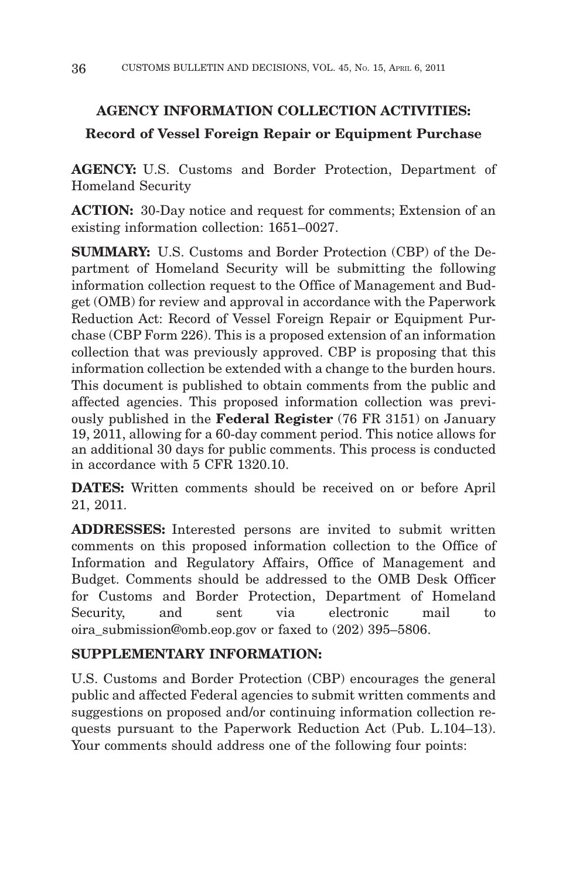# **AGENCY INFORMATION COLLECTION ACTIVITIES:**

# **Record of Vessel Foreign Repair or Equipment Purchase**

**AGENCY:** U.S. Customs and Border Protection, Department of Homeland Security

**ACTION:** 30-Day notice and request for comments; Extension of an existing information collection: 1651–0027.

**SUMMARY:** U.S. Customs and Border Protection (CBP) of the Department of Homeland Security will be submitting the following information collection request to the Office of Management and Budget (OMB) for review and approval in accordance with the Paperwork Reduction Act: Record of Vessel Foreign Repair or Equipment Purchase (CBP Form 226). This is a proposed extension of an information collection that was previously approved. CBP is proposing that this information collection be extended with a change to the burden hours. This document is published to obtain comments from the public and affected agencies. This proposed information collection was previously published in the **Federal Register** (76 FR 3151) on January 19, 2011, allowing for a 60-day comment period. This notice allows for an additional 30 days for public comments. This process is conducted in accordance with 5 CFR 1320.10.

**DATES:** Written comments should be received on or before April 21, 2011.

**ADDRESSES:** Interested persons are invited to submit written comments on this proposed information collection to the Office of Information and Regulatory Affairs, Office of Management and Budget. Comments should be addressed to the OMB Desk Officer for Customs and Border Protection, Department of Homeland Security, and sent via electronic mail to oira\_submission@omb.eop.gov or faxed to (202) 395–5806.

# **SUPPLEMENTARY INFORMATION:**

U.S. Customs and Border Protection (CBP) encourages the general public and affected Federal agencies to submit written comments and suggestions on proposed and/or continuing information collection requests pursuant to the Paperwork Reduction Act (Pub. L.104–13). Your comments should address one of the following four points: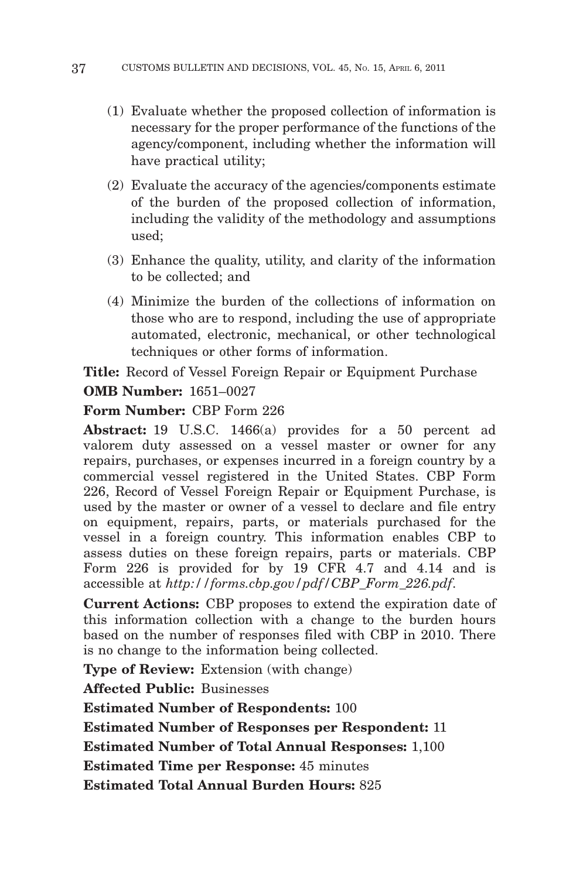- (1) Evaluate whether the proposed collection of information is necessary for the proper performance of the functions of the agency/component, including whether the information will have practical utility;
- (2) Evaluate the accuracy of the agencies/components estimate of the burden of the proposed collection of information, including the validity of the methodology and assumptions used;
- (3) Enhance the quality, utility, and clarity of the information to be collected; and
- (4) Minimize the burden of the collections of information on those who are to respond, including the use of appropriate automated, electronic, mechanical, or other technological techniques or other forms of information.

**Title:** Record of Vessel Foreign Repair or Equipment Purchase

**OMB Number:** 1651–0027

**Form Number:** CBP Form 226

**Abstract:** 19 U.S.C. 1466(a) provides for a 50 percent ad valorem duty assessed on a vessel master or owner for any repairs, purchases, or expenses incurred in a foreign country by a commercial vessel registered in the United States. CBP Form 226, Record of Vessel Foreign Repair or Equipment Purchase, is used by the master or owner of a vessel to declare and file entry on equipment, repairs, parts, or materials purchased for the vessel in a foreign country. This information enables CBP to assess duties on these foreign repairs, parts or materials. CBP Form 226 is provided for by 19 CFR 4.7 and 4.14 and is accessible at *http://forms.cbp.gov/pdf/CBP\_Form\_226.pdf*.

**Current Actions:** CBP proposes to extend the expiration date of this information collection with a change to the burden hours based on the number of responses filed with CBP in 2010. There is no change to the information being collected.

**Type of Review:** Extension (with change)

**Affected Public:** Businesses

**Estimated Number of Respondents:** 100

**Estimated Number of Responses per Respondent:** 11

**Estimated Number of Total Annual Responses:** 1,100

**Estimated Time per Response:** 45 minutes

**Estimated Total Annual Burden Hours:** 825